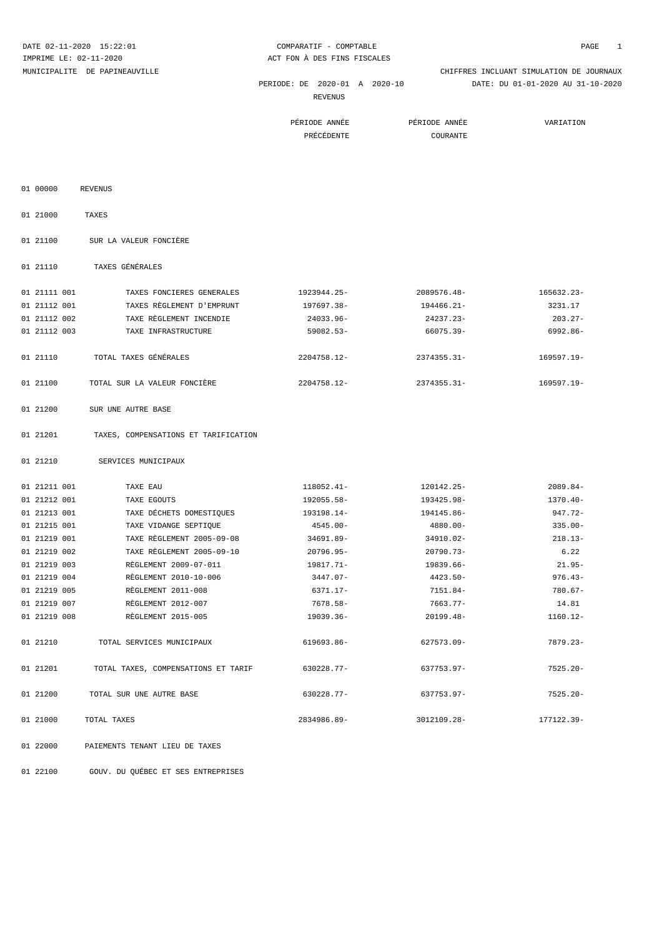| DATE 02-11-2020 15:22:01 |                                      | COMPARATIF - COMPTABLE        |                | 1<br>PAGE                                |
|--------------------------|--------------------------------------|-------------------------------|----------------|------------------------------------------|
| IMPRIME LE: 02-11-2020   |                                      | ACT FON A DES FINS FISCALES   |                |                                          |
|                          | MUNICIPALITE DE PAPINEAUVILLE        |                               |                | CHIFFRES INCLUANT SIMULATION DE JOURNAUX |
|                          |                                      | PERIODE: DE 2020-01 A 2020-10 |                | DATE: DU 01-01-2020 AU 31-10-2020        |
|                          |                                      | REVENUS                       |                |                                          |
|                          |                                      | PÉRIODE ANNÉE                 | PÉRIODE ANNÉE  | VARIATION                                |
|                          |                                      | PRÉCÉDENTE                    | COURANTE       |                                          |
|                          |                                      |                               |                |                                          |
|                          |                                      |                               |                |                                          |
|                          |                                      |                               |                |                                          |
| 01 00000                 | <b>REVENUS</b>                       |                               |                |                                          |
| 01 21000                 | TAXES                                |                               |                |                                          |
| 01 21100                 | SUR LA VALEUR FONCIÈRE               |                               |                |                                          |
| 01 21110                 | TAXES GÉNÉRALES                      |                               |                |                                          |
| 01 21111 001             | TAXES FONCIERES GENERALES            | 1923944.25-                   | 2089576.48-    | 165632.23-                               |
| 01 21112 001             | TAXES RÈGLEMENT D'EMPRUNT            | 197697.38-                    | 194466.21-     | 3231.17                                  |
| 01 21112 002             | TAXE RÈGLEMENT INCENDIE              | 24033.96-                     | 24237.23-      | 203.27-                                  |
| 01 21112 003             | TAXE INFRASTRUCTURE                  | $59082.53-$                   | 66075.39-      | 6992.86-                                 |
|                          |                                      |                               |                |                                          |
| 01 21110                 | TOTAL TAXES GÉNÉRALES                | $2204758.12 -$                | $2374355.31 -$ | 169597.19-                               |
| 01 21100                 | TOTAL SUR LA VALEUR FONCIÈRE         | 2204758.12-                   | 2374355.31-    | 169597.19-                               |
| 01 21200                 | SUR UNE AUTRE BASE                   |                               |                |                                          |
| 01 21201                 | TAXES, COMPENSATIONS ET TARIFICATION |                               |                |                                          |
| 01 21210                 | SERVICES MUNICIPAUX                  |                               |                |                                          |
| 01 21211 001             | TAXE EAU                             | 118052.41-                    | 120142.25-     | $2089.84-$                               |
| 01 21212 001             | TAXE EGOUTS                          | 192055.58-                    | 193425.98-     | 1370.40-                                 |
| 01 21213 001             | TAXE DÉCHETS DOMESTIQUES             | 193198.14-                    | 194145.86-     | $947.72 -$                               |
| 01 21215 001             | TAXE VIDANGE SEPTIQUE                | $4545.00 -$                   | 4880.00-       | $335.00 -$                               |
| 01 21219 001             | TAXE REGLEMENT 2005-09-08            | 34691.89-                     | 34910.02-      | $218.13-$                                |
| 01 21219 002             | TAXE RÈGLEMENT 2005-09-10            | 20796.95-                     | 20790.73-      | 6.22                                     |
| 01 21219 003             | RÈGLEMENT 2009-07-011                | 19817.71-                     | 19839.66-      | $21.95 -$                                |
| 01 21219 004             | RÈGLEMENT 2010-10-006                | 3447.07-                      | 4423.50-       | $976.43-$                                |
| 01 21219 005             | RÈGLEMENT 2011-008                   | 6371.17-                      | 7151.84-       | $780.67 -$                               |
| 01 21219 007             | RÈGLEMENT 2012-007                   | 7678.58-                      | 7663.77-       | 14.81                                    |
| 01 21219 008             | RÈGLEMENT 2015-005                   | 19039.36-                     | 20199.48-      | 1160.12-                                 |
|                          |                                      |                               |                |                                          |
| 01 21210                 | TOTAL SERVICES MUNICIPAUX            | 619693.86-                    | 627573.09-     | $7879.23-$                               |
| 01 21201                 | TOTAL TAXES, COMPENSATIONS ET TARIF  | 630228.77-                    | 637753.97-     | $7525.20 -$                              |
| 01 21200                 | TOTAL SUR UNE AUTRE BASE             | 630228.77-                    | 637753.97-     | $7525.20 -$                              |
| 01 21000                 | TOTAL TAXES                          | 2834986.89-                   | 3012109.28-    | 177122.39-                               |

01 22000 PAIEMENTS TENANT LIEU DE TAXES

01 22100 GOUV. DU QUÉBEC ET SES ENTREPRISES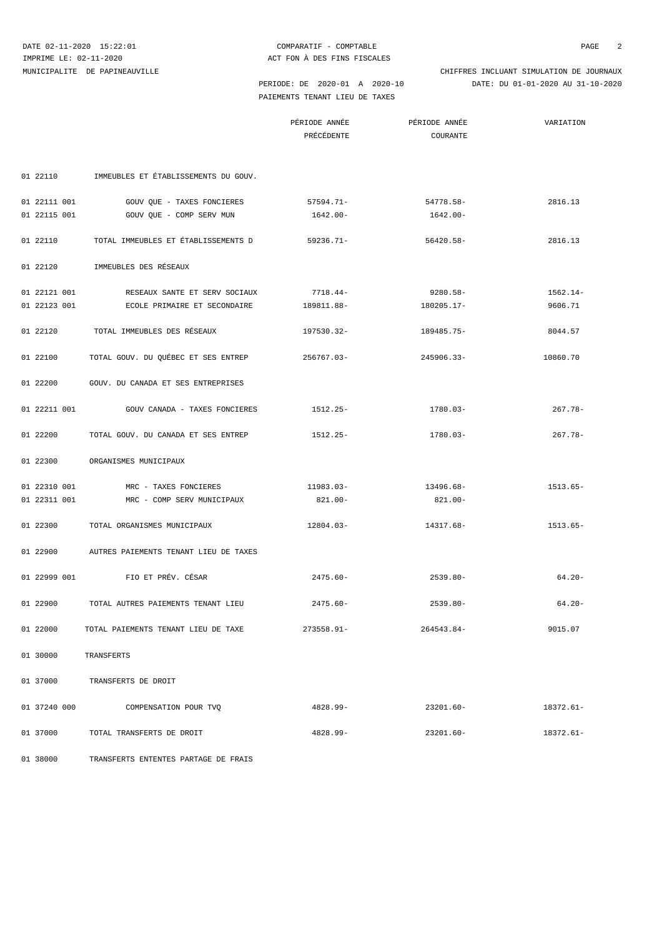PAIEMENTS TENANT LIEU DE TAXES

 PERIODE: DE 2020-01 A 2020-10 DATE: DU 01-01-2020 AU 31-10-2020 MUNICIPALITE DE PAPINEAUVILLE CHIFFRES INCLUANT SIMULATION DE JOURNAUX

PÉRIODE ANNÉE PÉRIODE ANNÉE VARIATION

|              |                                                | PRÉCÉDENTE  | COURANTE    |            |
|--------------|------------------------------------------------|-------------|-------------|------------|
|              |                                                |             |             |            |
|              |                                                |             |             |            |
|              | 01 22110 IMMEUBLES ET ÉTABLISSEMENTS DU GOUV.  |             |             |            |
| 01 22111 001 | GOUV QUE - TAXES FONCIERES                     | 57594.71-   | 54778.58-   | 2816.13    |
| 01 22115 001 | GOUV QUE - COMP SERV MUN                       | 1642.00-    | 1642.00-    |            |
|              |                                                |             |             |            |
| 01 22110     | TOTAL IMMEUBLES ET ÉTABLISSEMENTS D            | 59236.71-   | 56420.58-   | 2816.13    |
| 01 22120     | IMMEUBLES DES RÉSEAUX                          |             |             |            |
|              |                                                |             |             |            |
| 01 22121 001 | RESEAUX SANTE ET SERV SOCIAUX                  | 7718.44-    | 9280.58-    | 1562.14-   |
| 01 22123 001 | ECOLE PRIMAIRE ET SECONDAIRE                   | 189811.88-  | 180205.17-  | 9606.71    |
| 01 22120     | TOTAL IMMEUBLES DES RÉSEAUX                    | 197530.32-  | 189485.75-  | 8044.57    |
|              |                                                |             |             |            |
| 01 22100     | TOTAL GOUV. DU QUÉBEC ET SES ENTREP 256767.03- |             | 245906.33-  | 10860.70   |
|              |                                                |             |             |            |
| 01 22200     | GOUV. DU CANADA ET SES ENTREPRISES             |             |             |            |
| 01 22211 001 | GOUV CANADA - TAXES FONCIERES                  | 1512.25-    | 1780.03-    | $267.78-$  |
|              |                                                |             |             |            |
| 01 22200     | TOTAL GOUV. DU CANADA ET SES ENTREP            | 1512.25-    | 1780.03-    | $267.78-$  |
|              |                                                |             |             |            |
| 01 22300     | ORGANISMES MUNICIPAUX                          |             |             |            |
| 01 22310 001 | MRC - TAXES FONCIERES                          | 11983.03-   | 13496.68-   | $1513.65-$ |
| 01 22311 001 | MRC - COMP SERV MUNICIPAUX                     | $821.00 -$  | 821.00-     |            |
|              |                                                |             |             |            |
| 01 22300     | TOTAL ORGANISMES MUNICIPAUX                    | 12804.03-   | 14317.68-   | 1513.65-   |
| 01 22900     | AUTRES PAIEMENTS TENANT LIEU DE TAXES          |             |             |            |
|              |                                                |             |             |            |
| 01 22999 001 | FIO ET PRÉV. CÉSAR                             | $2475.60 -$ | $2539.80 -$ | $64.20 -$  |
|              |                                                |             |             |            |
| 01 22900     | TOTAL AUTRES PAIEMENTS TENANT LIEU             | $2475.60 -$ | $2539.80 -$ | $64.20 -$  |
| 01 22000     | TOTAL PAIEMENTS TENANT LIEU DE TAXE            | 273558.91-  | 264543.84-  | 9015.07    |
|              |                                                |             |             |            |
| 01 30000     | TRANSFERTS                                     |             |             |            |
|              |                                                |             |             |            |
| 01 37000     | TRANSFERTS DE DROIT                            |             |             |            |
|              | 01 37240 000 COMPENSATION POUR TVQ             | 4828.99-    | 23201.60-   | 18372.61-  |
|              |                                                |             |             |            |
|              | 01 37000 TOTAL TRANSFERTS DE DROIT             | 4828.99-    | 23201.60-   | 18372.61-  |
| 01 38000     | TRANSFERTS ENTENTES PARTAGE DE FRAIS           |             |             |            |
|              |                                                |             |             |            |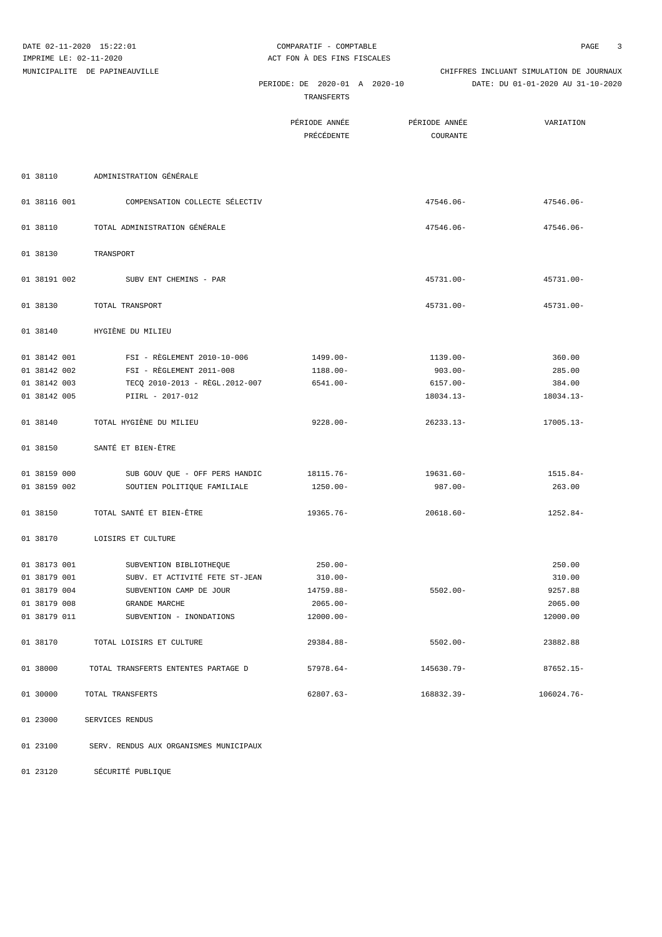|              | DATE 02-11-2020 15:22:01<br>IMPRIME LE: 02-11-2020 | COMPARATIF - COMPTABLE<br>ACT FON À DES FINS FISCALES |                           | 3<br>PAGE                                                                     |
|--------------|----------------------------------------------------|-------------------------------------------------------|---------------------------|-------------------------------------------------------------------------------|
|              | MUNICIPALITE DE PAPINEAUVILLE                      | PERIODE: DE 2020-01 A 2020-10<br>TRANSFERTS           |                           | CHIFFRES INCLUANT SIMULATION DE JOURNAUX<br>DATE: DU 01-01-2020 AU 31-10-2020 |
|              |                                                    | PÉRIODE ANNÉE<br>PRÉCÉDENTE                           | PÉRIODE ANNÉE<br>COURANTE | VARIATION                                                                     |
| 01 38110     | ADMINISTRATION GÉNÉRALE                            |                                                       |                           |                                                                               |
| 01 38116 001 | COMPENSATION COLLECTE SÉLECTIV                     |                                                       | 47546.06-                 | 47546.06-                                                                     |
| 01 38110     | TOTAL ADMINISTRATION GÉNÉRALE                      |                                                       | 47546.06-                 | 47546.06-                                                                     |
| 01 38130     | TRANSPORT                                          |                                                       |                           |                                                                               |
| 01 38191 002 | SUBV ENT CHEMINS - PAR                             |                                                       | $45731.00 -$              | 45731.00-                                                                     |
| 01 38130     | TOTAL TRANSPORT                                    |                                                       | 45731.00-                 | $45731.00 -$                                                                  |
| 01 38140     | HYGIÈNE DU MILIEU                                  |                                                       |                           |                                                                               |
| 01 38142 001 | FSI - RÈGLEMENT 2010-10-006                        | 1499.00-                                              | 1139.00-                  | 360.00                                                                        |
| 01 38142 002 | FSI - RÈGLEMENT 2011-008                           | $1188.00 -$                                           | 903.00-                   | 285.00                                                                        |
| 01 38142 003 | TECO 2010-2013 - RÈGL.2012-007                     | $6541.00 -$                                           | 6157.00-                  | 384.00                                                                        |
| 01 38142 005 | PIIRL - 2017-012                                   |                                                       | 18034.13-                 | 18034.13-                                                                     |
| 01 38140     | TOTAL HYGIÈNE DU MILIEU                            | $9228.00 -$                                           | $26233.13-$               | 17005.13-                                                                     |
| 01 38150     | SANTÉ ET BIEN-ÊTRE                                 |                                                       |                           |                                                                               |
| 01 38159 000 | SUB GOUV QUE - OFF PERS HANDIC                     | 18115.76-                                             | 19631.60-                 | 1515.84-                                                                      |
| 01 38159 002 | SOUTIEN POLITIQUE FAMILIALE                        | $1250.00 -$                                           | $987.00 -$                | 263.00                                                                        |
| 01 38150     | TOTAL SANTÉ ET BIEN-ÊTRE                           | 19365.76-                                             | $20618.60 -$              | $1252.84-$                                                                    |
| 01 38170     | LOISIRS ET CULTURE                                 |                                                       |                           |                                                                               |
| 01 38173 001 | SUBVENTION BIBLIOTHEQUE                            | $250.00 -$                                            |                           | 250.00                                                                        |
| 01 38179 001 | SUBV. ET ACTIVITÉ FETE ST-JEAN                     | $310.00 -$                                            |                           | 310.00                                                                        |
| 01 38179 004 | SUBVENTION CAMP DE JOUR                            | 14759.88-                                             | $5502.00 -$               | 9257.88                                                                       |
| 01 38179 008 | GRANDE MARCHE                                      | $2065.00 -$                                           |                           | 2065.00                                                                       |
| 01 38179 011 | SUBVENTION - INONDATIONS                           | 12000.00-                                             |                           | 12000.00                                                                      |
| 01 38170     | TOTAL LOISIRS ET CULTURE                           | 29384.88-                                             | $5502.00 -$               | 23882.88                                                                      |
| 01 38000     | TOTAL TRANSFERTS ENTENTES PARTAGE D                | $57978.64-$                                           | 145630.79-                | $87652.15 -$                                                                  |
| 01 30000     | TOTAL TRANSFERTS                                   | $62807.63-$                                           | 168832.39-                | 106024.76-                                                                    |
| 01 23000     | SERVICES RENDUS                                    |                                                       |                           |                                                                               |
| 01 23100     | SERV. RENDUS AUX ORGANISMES MUNICIPAUX             |                                                       |                           |                                                                               |

01 23120 SÉCURITÉ PUBLIQUE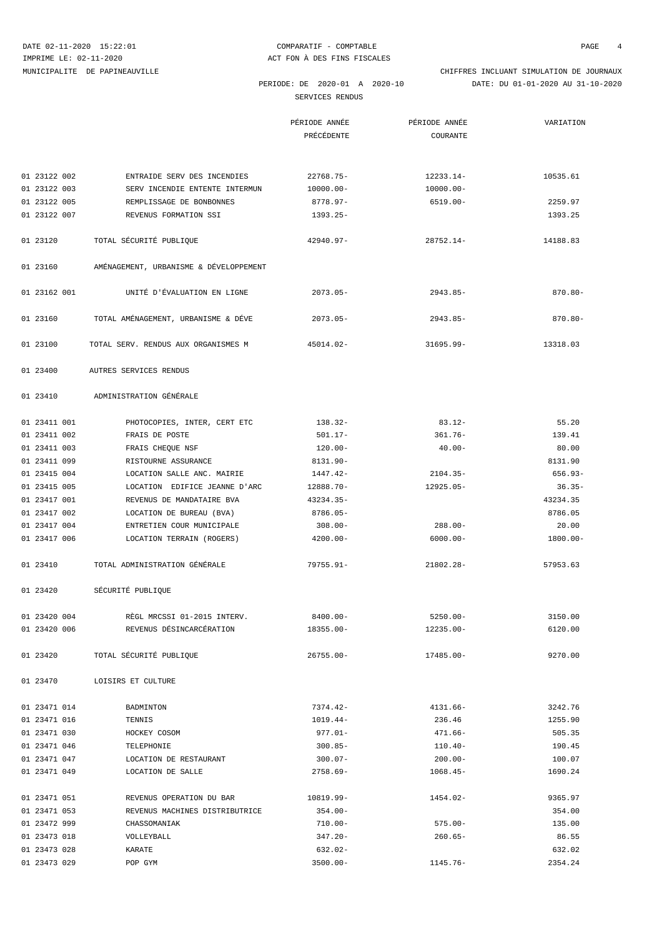DATE 02-11-2020 15:22:01 COMPARATIF - COMPTABLE COMPTABLE PAGE 4

SERVICES RENDUS

 PERIODE: DE 2020-01 A 2020-10 DATE: DU 01-01-2020 AU 31-10-2020 MUNICIPALITE DE PAPINEAUVILLE CHIFFRES INCLUANT SIMULATION DE JOURNAUX

|          |              |                                        | PÉRIODE ANNÉE | PÉRIODE ANNÉE | VARIATION  |
|----------|--------------|----------------------------------------|---------------|---------------|------------|
|          |              |                                        | PRÉCÉDENTE    | COURANTE      |            |
|          |              |                                        |               |               |            |
|          | 01 23122 002 | ENTRAIDE SERV DES INCENDIES            | $22768.75-$   | 12233.14-     | 10535.61   |
|          | 01 23122 003 | SERV INCENDIE ENTENTE INTERMUN         | $10000.00 -$  | $10000.00 -$  |            |
|          | 01 23122 005 | REMPLISSAGE DE BONBONNES               | 8778.97-      | 6519.00-      | 2259.97    |
|          | 01 23122 007 | REVENUS FORMATION SSI                  | $1393.25-$    |               | 1393.25    |
| 01 23120 |              | TOTAL SÉCURITÉ PUBLIQUE                | $42940.97 -$  | 28752.14-     | 14188.83   |
| 01 23160 |              | AMÉNAGEMENT, URBANISME & DÉVELOPPEMENT |               |               |            |
|          | 01 23162 001 | UNITÉ D'ÉVALUATION EN LIGNE            | $2073.05-$    | $2943.85-$    | $870.80 -$ |
| 01 23160 |              | TOTAL AMÉNAGEMENT, URBANISME & DÉVE    | $2073.05-$    | $2943.85-$    | $870.80 -$ |
| 01 23100 |              | TOTAL SERV. RENDUS AUX ORGANISMES M    | 45014.02-     | $31695.99 -$  | 13318.03   |
| 01 23400 |              | AUTRES SERVICES RENDUS                 |               |               |            |
| 01 23410 |              | ADMINISTRATION GÉNÉRALE                |               |               |            |
|          | 01 23411 001 | PHOTOCOPIES, INTER, CERT ETC           | $138.32-$     | $83.12 -$     | 55.20      |
|          | 01 23411 002 | FRAIS DE POSTE                         | $501.17 -$    | 361.76-       | 139.41     |
|          | 01 23411 003 | FRAIS CHEQUE NSF                       | $120.00 -$    | $40.00 -$     | 80.00      |
|          | 01 23411 099 | RISTOURNE ASSURANCE                    | 8131.90-      |               | 8131.90    |
|          | 01 23415 004 | LOCATION SALLE ANC. MAIRIE             | 1447.42-      | $2104.35-$    | $656.93-$  |
|          | 01 23415 005 | LOCATION EDIFICE JEANNE D'ARC          | 12888.70-     | 12925.05-     | $36.35-$   |
|          | 01 23417 001 | REVENUS DE MANDATAIRE BVA              | 43234.35-     |               | 43234.35   |
|          | 01 23417 002 | LOCATION DE BUREAU (BVA)               | $8786.05-$    |               | 8786.05    |
|          | 01 23417 004 | ENTRETIEN COUR MUNICIPALE              | $308.00 -$    | 288.00-       | 20.00      |
|          | 01 23417 006 | LOCATION TERRAIN (ROGERS)              | $4200.00 -$   | $6000.00 -$   | 1800.00-   |
| 01 23410 |              | TOTAL ADMINISTRATION GÉNÉRALE          | $79755.91 -$  | $21802.28 -$  | 57953.63   |
| 01 23420 |              | SÉCURITÉ PUBLIQUE                      |               |               |            |
|          | 01 23420 004 | RÈGL MRCSSI 01-2015 INTERV.            | 8400.00-      | $5250.00 -$   | 3150.00    |
|          | 01 23420 006 | REVENUS DÉSINCARCÉRATION               | 18355.00-     | 12235.00-     | 6120.00    |
| 01 23420 |              | TOTAL SÉCURITÉ PUBLIQUE                | $26755.00 -$  | 17485.00-     | 9270.00    |
| 01 23470 |              | LOISIRS ET CULTURE                     |               |               |            |
|          | 01 23471 014 | BADMINTON                              | $7374.42-$    | $4131.66-$    | 3242.76    |
|          | 01 23471 016 | TENNIS                                 | $1019.44-$    | 236.46        | 1255.90    |
|          | 01 23471 030 | HOCKEY COSOM                           | $977.01 -$    | $471.66 -$    | 505.35     |
|          | 01 23471 046 | TELEPHONIE                             | $300.85 -$    | $110.40-$     | 190.45     |
|          | 01 23471 047 | LOCATION DE RESTAURANT                 | $300.07 -$    | $200.00 -$    | 100.07     |
|          | 01 23471 049 | LOCATION DE SALLE                      | $2758.69-$    | $1068.45-$    | 1690.24    |
|          | 01 23471 051 | REVENUS OPERATION DU BAR               | 10819.99-     | 1454.02-      | 9365.97    |
|          | 01 23471 053 | REVENUS MACHINES DISTRIBUTRICE         | $354.00 -$    |               | 354.00     |
|          | 01 23472 999 | CHASSOMANIAK                           | $710.00 -$    | $575.00 -$    | 135.00     |
|          | 01 23473 018 | VOLLEYBALL                             | $347.20 -$    | $260.65 -$    | 86.55      |
|          | 01 23473 028 | KARATE                                 | $632.02 -$    |               | 632.02     |
|          | 01 23473 029 | POP GYM                                | $3500.00 -$   | $1145.76-$    | 2354.24    |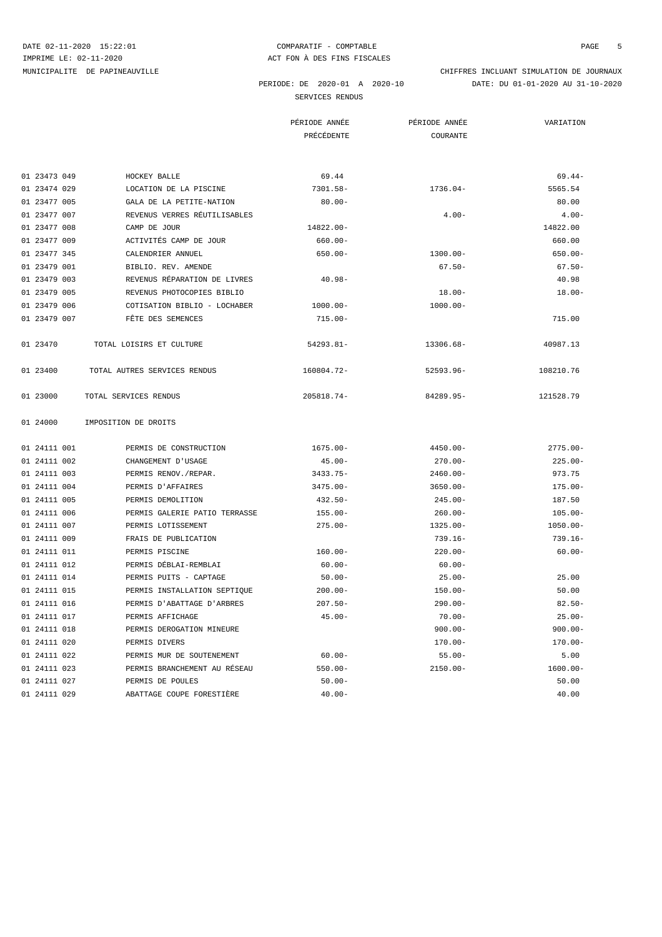MUNICIPALITE DE PAPINEAUVILLE CHIFFRES INCLUANT SIMULATION DE JOURNAUX

PERIODE: DE 2020-01 A 2020-10 DATE: DU 01-01-2020 AU 31-10-2020

SERVICES RENDUS

|              |                               | PÉRIODE ANNÉE | PÉRIODE ANNÉE | VARIATION   |
|--------------|-------------------------------|---------------|---------------|-------------|
|              |                               | PRÉCÉDENTE    | COURANTE      |             |
|              |                               |               |               |             |
| 01 23473 049 | HOCKEY BALLE                  | 69.44         |               | $69.44-$    |
| 01 23474 029 | LOCATION DE LA PISCINE        | $7301.58 -$   | $1736.04-$    | 5565.54     |
| 01 23477 005 | GALA DE LA PETITE-NATION      | $80.00 -$     |               | 80.00       |
| 01 23477 007 | REVENUS VERRES RÉUTILISABLES  |               | $4.00 -$      | $4.00 -$    |
| 01 23477 008 | CAMP DE JOUR                  | 14822.00-     |               | 14822.00    |
| 01 23477 009 | ACTIVITÉS CAMP DE JOUR        | $660.00 -$    |               | 660.00      |
| 01 23477 345 | CALENDRIER ANNUEL             | $650.00 -$    | $1300.00 -$   | $650.00 -$  |
| 01 23479 001 | BIBLIO. REV. AMENDE           |               | $67.50 -$     | $67.50 -$   |
| 01 23479 003 | REVENUS RÉPARATION DE LIVRES  | $40.98 -$     |               | 40.98       |
| 01 23479 005 | REVENUS PHOTOCOPIES BIBLIO    |               | $18.00 -$     | $18.00 -$   |
| 01 23479 006 | COTISATION BIBLIO - LOCHABER  | $1000.00 -$   | $1000.00 -$   |             |
| 01 23479 007 | FÊTE DES SEMENCES             | $715.00 -$    |               | 715.00      |
| 01 23470     | TOTAL LOISIRS ET CULTURE      | $54293.81 -$  | 13306.68-     | 40987.13    |
| 01 23400     | TOTAL AUTRES SERVICES RENDUS  | 160804.72-    | $52593.96 -$  | 108210.76   |
| 01 23000     | TOTAL SERVICES RENDUS         | 205818.74-    | 84289.95-     | 121528.79   |
| 01 24000     | IMPOSITION DE DROITS          |               |               |             |
| 01 24111 001 | PERMIS DE CONSTRUCTION        | $1675.00 -$   | $4450.00 -$   | $2775.00 -$ |
| 01 24111 002 | CHANGEMENT D'USAGE            | $45.00 -$     | $270.00 -$    | $225.00 -$  |
| 01 24111 003 | PERMIS RENOV./REPAR.          | $3433.75-$    | $2460.00 -$   | 973.75      |
| 01 24111 004 | PERMIS D'AFFAIRES             | $3475.00 -$   | $3650.00 -$   | $175.00 -$  |
| 01 24111 005 | PERMIS DEMOLITION             | $432.50 -$    | $245.00 -$    | 187.50      |
| 01 24111 006 | PERMIS GALERIE PATIO TERRASSE | $155.00 -$    | $260.00 -$    | $105.00 -$  |
| 01 24111 007 | PERMIS LOTISSEMENT            | $275.00 -$    | $1325.00 -$   | $1050.00 -$ |
| 01 24111 009 | FRAIS DE PUBLICATION          |               | $739.16 -$    | $739.16 -$  |
| 01 24111 011 | PERMIS PISCINE                | $160.00 -$    | $220.00 -$    | $60.00 -$   |
| 01 24111 012 | PERMIS DÉBLAI-REMBLAI         | $60.00 -$     | $60.00 -$     |             |
| 01 24111 014 | PERMIS PUITS - CAPTAGE        | $50.00 -$     | $25.00 -$     | 25.00       |
| 01 24111 015 | PERMIS INSTALLATION SEPTIQUE  | $200.00 -$    | $150.00 -$    | 50.00       |
| 01 24111 016 | PERMIS D'ABATTAGE D'ARBRES    | $207.50 -$    | $290.00 -$    | $82.50 -$   |
| 01 24111 017 | PERMIS AFFICHAGE              | $45.00 -$     | $70.00 -$     | $25.00 -$   |
| 01 24111 018 | PERMIS DEROGATION MINEURE     |               | $900.00 -$    | $900.00 -$  |
| 01 24111 020 | PERMIS DIVERS                 |               | $170.00 -$    | $170.00 -$  |
| 01 24111 022 | PERMIS MUR DE SOUTENEMENT     | $60.00 -$     | $55.00 -$     | 5.00        |
| 01 24111 023 | PERMIS BRANCHEMENT AU RÉSEAU  | $550.00 -$    | $2150.00 -$   | $1600.00 -$ |
| 01 24111 027 | PERMIS DE POULES              | $50.00 -$     |               | 50.00       |
| 01 24111 029 | ABATTAGE COUPE FORESTIÈRE     | $40.00 -$     |               | 40.00       |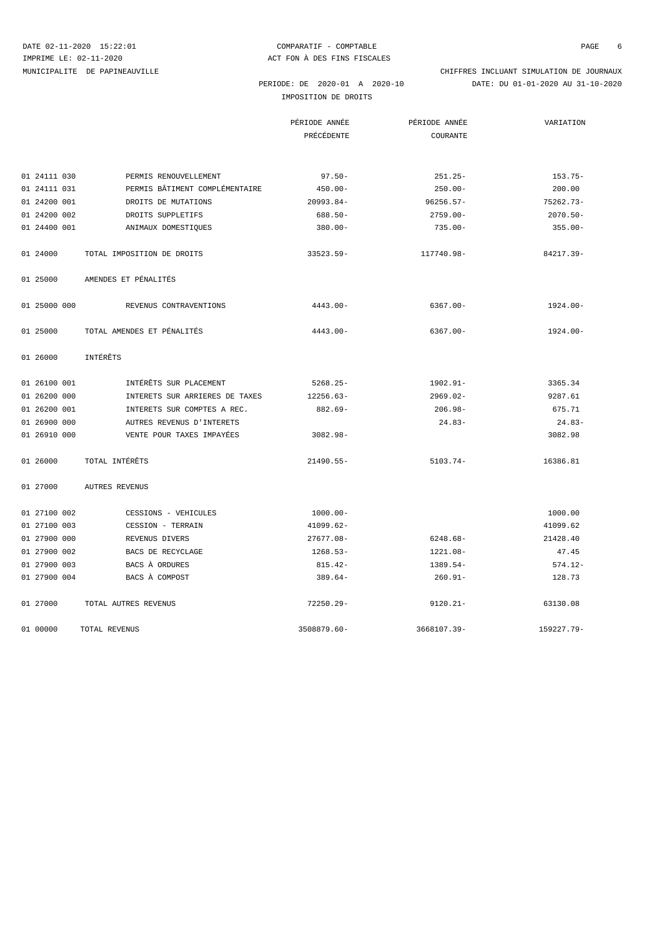DATE 02-11-2020 15:22:01 COMPARATIF - COMPTABLE COMPTABLE PAGE 6

 PERIODE: DE 2020-01 A 2020-10 DATE: DU 01-01-2020 AU 31-10-2020 MUNICIPALITE DE PAPINEAUVILLE CHIFFRES INCLUANT SIMULATION DE JOURNAUX

IMPOSITION DE DROITS

|                            |                                | PÉRIODE ANNÉE | PÉRIODE ANNÉE | VARIATION   |
|----------------------------|--------------------------------|---------------|---------------|-------------|
|                            |                                | PRÉCÉDENTE    | COURANTE      |             |
|                            |                                |               |               |             |
| 01 24111 030               | PERMIS RENOUVELLEMENT          | $97.50 -$     | $251.25 -$    | $153.75-$   |
| 01 24111 031               | PERMIS BÂTIMENT COMPLÉMENTAIRE | $450.00 -$    | $250.00 -$    | 200.00      |
| 01 24200 001               | DROITS DE MUTATIONS            | $20993.84-$   | $96256.57-$   | $75262.73-$ |
| 01 24200 002               | DROITS SUPPLETIFS              | $688.50 -$    | $2759.00 -$   | $2070.50 -$ |
| 01 24400 001               | ANIMAUX DOMESTIQUES            | $380.00 -$    | $735.00 -$    | $355.00 -$  |
| 01 24000                   | TOTAL IMPOSITION DE DROITS     | $33523.59-$   | 117740.98-    | 84217.39-   |
| 01 25000                   | AMENDES ET PÉNALITÉS           |               |               |             |
| 01 25000 000               | REVENUS CONTRAVENTIONS         | $4443.00 -$   | $6367.00 -$   | $1924.00 -$ |
| 01 25000                   | TOTAL AMENDES ET PÉNALITÉS     | $4443.00 -$   | $6367.00 -$   | $1924.00 -$ |
| INTÉRÊTS<br>01 26000       |                                |               |               |             |
| 01 26100 001               | INTÉRÊTS SUR PLACEMENT         | $5268.25-$    | $1902.91 -$   | 3365.34     |
| 01 26200 000               | INTERETS SUR ARRIERES DE TAXES | $12256.63-$   | $2969.02 -$   | 9287.61     |
| 01 26200 001               | INTERETS SUR COMPTES A REC.    | $882.69 -$    | $206.98 -$    | 675.71      |
| 01 26900 000               | AUTRES REVENUS D'INTERETS      |               | $24.83-$      | 24.83-      |
| 01 26910 000               | VENTE POUR TAXES IMPAYÉES      | $3082.98 -$   |               | 3082.98     |
| TOTAL INTÉRÊTS<br>01 26000 |                                | $21490.55 -$  | $5103.74-$    | 16386.81    |
| 01 27000<br>AUTRES REVENUS |                                |               |               |             |
| 01 27100 002               | CESSIONS - VEHICULES           | $1000.00 -$   |               | 1000.00     |
| 01 27100 003               | CESSION - TERRAIN              | 41099.62-     |               | 41099.62    |
| 01 27900 000               | REVENUS DIVERS                 | $27677.08 -$  | $6248.68-$    | 21428.40    |
| 01 27900 002               | BACS DE RECYCLAGE              | $1268.53-$    | $1221.08-$    | 47.45       |
| 01 27900 003               | BACS À ORDURES                 | $815.42-$     | 1389.54-      | $574.12 -$  |
| 01 27900 004               | BACS À COMPOST                 | $389.64-$     | $260.91 -$    | 128.73      |
| 01 27000                   | TOTAL AUTRES REVENUS           | $72250.29 -$  | $9120.21 -$   | 63130.08    |
| 01 00000<br>TOTAL REVENUS  |                                | 3508879.60-   | 3668107.39-   | 159227.79-  |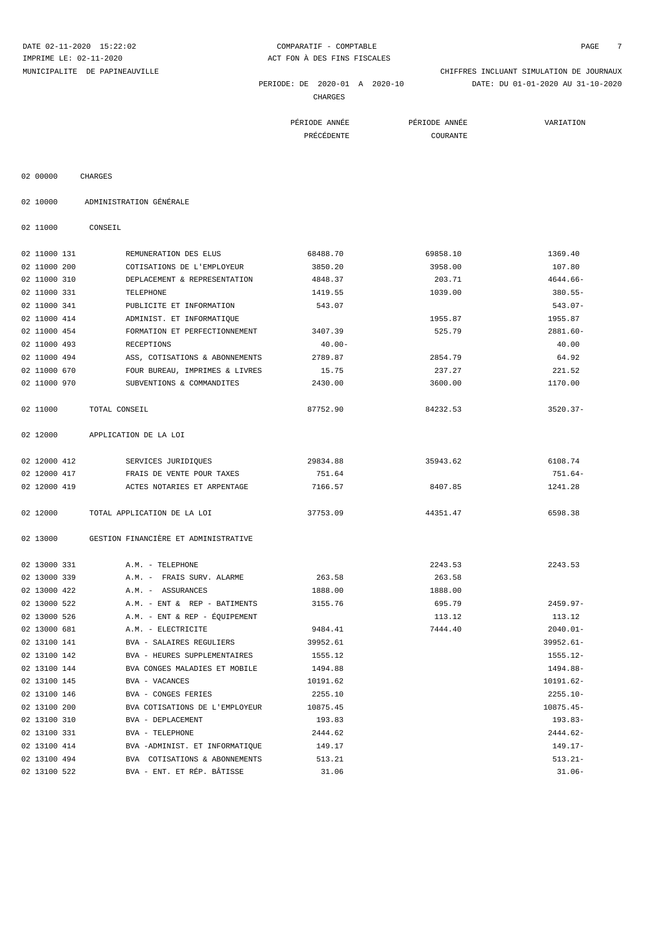DATE 02-11-2020 15:22:02 COMPARATIF - COMPTABLE PAGE 7 IMPRIME LE: 02-11-2020 <br>ACT FON À DES FINS FISCALES

 PERIODE: DE 2020-01 A 2020-10 DATE: DU 01-01-2020 AU 31-10-2020 MUNICIPALITE DE PAPINEAUVILLE CHIFFRES INCLUANT SIMULATION DE JOURNAUX

CHARGES

| PÉRIODE ANNÉE | PÉRIODE ANNÉE                           | VARIATION |
|---------------|-----------------------------------------|-----------|
| PRÉCÉDENTE    | COURANTE<br>$\sim$ $\sim$ $\sim$ $\sim$ |           |

| 02 00000 | CHARGES |
|----------|---------|

02 10000 ADMINISTRATION GÉNÉRALE

02 11000 CONSEIL

| 02 11000 131 | REMUNERATION DES ELUS                | 68488.70  | 69858.10 | 1369.40     |
|--------------|--------------------------------------|-----------|----------|-------------|
| 02 11000 200 | COTISATIONS DE L'EMPLOYEUR           | 3850.20   | 3958.00  | 107.80      |
| 02 11000 310 | DEPLACEMENT & REPRESENTATION         | 4848.37   | 203.71   | $4644.66-$  |
| 02 11000 331 | TELEPHONE                            | 1419.55   | 1039.00  | $380.55 -$  |
| 02 11000 341 | PUBLICITE ET INFORMATION             | 543.07    |          | $543.07 -$  |
| 02 11000 414 | ADMINIST. ET INFORMATIQUE            |           | 1955.87  | 1955.87     |
| 02 11000 454 | FORMATION ET PERFECTIONNEMENT        | 3407.39   | 525.79   | $2881.60 -$ |
| 02 11000 493 | RECEPTIONS                           | $40.00 -$ |          | 40.00       |
| 02 11000 494 | ASS, COTISATIONS & ABONNEMENTS       | 2789.87   | 2854.79  | 64.92       |
| 02 11000 670 | FOUR BUREAU, IMPRIMES & LIVRES       | 15.75     | 237.27   | 221.52      |
| 02 11000 970 | SUBVENTIONS & COMMANDITES            | 2430.00   | 3600.00  | 1170.00     |
| 02 11000     | TOTAL CONSEIL                        | 87752.90  | 84232.53 | $3520.37-$  |
| 02 12000     | APPLICATION DE LA LOI                |           |          |             |
| 02 12000 412 | SERVICES JURIDIQUES                  | 29834.88  | 35943.62 | 6108.74     |
| 02 12000 417 | FRAIS DE VENTE POUR TAXES            | 751.64    |          | $751.64-$   |
| 02 12000 419 | ACTES NOTARIES ET ARPENTAGE          | 7166.57   | 8407.85  | 1241.28     |
| 02 12000     | TOTAL APPLICATION DE LA LOI          | 37753.09  | 44351.47 | 6598.38     |
| 02 13000     | GESTION FINANCIÈRE ET ADMINISTRATIVE |           |          |             |
| 02 13000 331 | A.M. - TELEPHONE                     |           | 2243.53  | 2243.53     |
| 02 13000 339 | A.M. - FRAIS SURV. ALARME            | 263.58    | 263.58   |             |
| 02 13000 422 | A.M. - ASSURANCES                    | 1888.00   | 1888.00  |             |
| 02 13000 522 | A.M. - ENT & REP - BATIMENTS         | 3155.76   | 695.79   | $2459.97-$  |
| 02 13000 526 | A.M. - ENT & REP - ÉQUIPEMENT        |           | 113.12   | 113.12      |
| 02 13000 681 | A.M. - ELECTRICITE                   | 9484.41   | 7444.40  | $2040.01 -$ |
| 02 13100 141 | <b>BVA - SALAIRES REGULIERS</b>      | 39952.61  |          | 39952.61-   |
| 02 13100 142 | BVA - HEURES SUPPLEMENTAIRES         | 1555.12   |          | 1555.12-    |
| 02 13100 144 | BVA CONGES MALADIES ET MOBILE        | 1494.88   |          | 1494.88-    |
| 02 13100 145 | BVA - VACANCES                       | 10191.62  |          | 10191.62-   |
| 02 13100 146 | BVA - CONGES FERIES                  | 2255.10   |          | $2255.10 -$ |
| 02 13100 200 | BVA COTISATIONS DE L'EMPLOYEUR       | 10875.45  |          | $10875.45-$ |
| 02 13100 310 | BVA - DEPLACEMENT                    | 193.83    |          | $193.83-$   |
| 02 13100 331 | BVA - TELEPHONE                      | 2444.62   |          | $2444.62-$  |
| 02 13100 414 | BVA -ADMINIST. ET INFORMATIQUE       | 149.17    |          | $149.17-$   |
| 02 13100 494 | BVA COTISATIONS & ABONNEMENTS        | 513.21    |          | $513.21 -$  |
| 02 13100 522 | BVA - ENT. ET RÉP. BÂTISSE           | 31.06     |          | $31.06 -$   |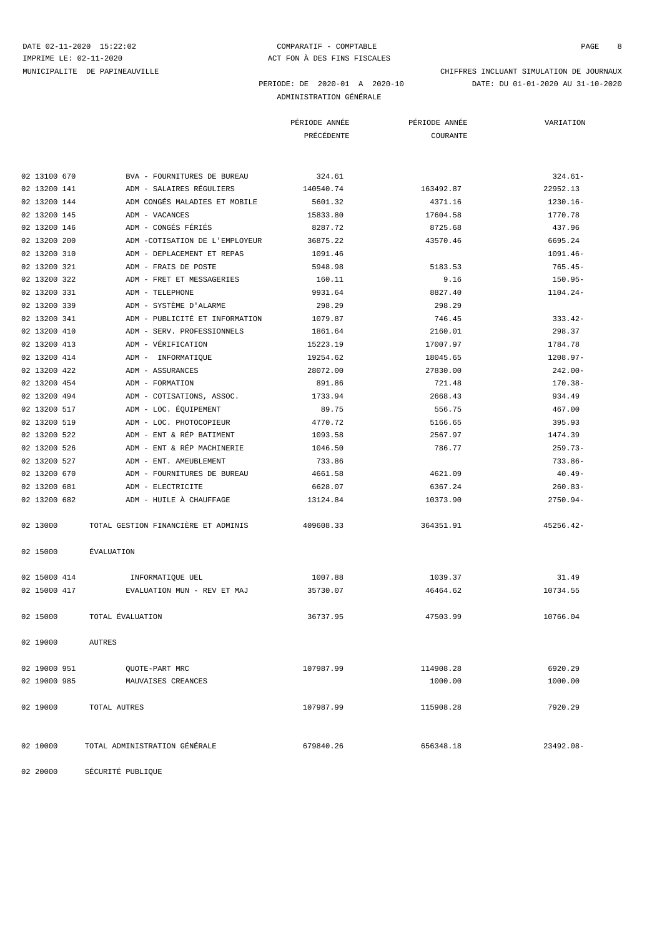# DATE 02-11-2020 15:22:02 COMPARATIF - COMPTABLE COMPTABLE PAGE 8

 PERIODE: DE 2020-01 A 2020-10 DATE: DU 01-01-2020 AU 31-10-2020 MUNICIPALITE DE PAPINEAUVILLE CHIFFRES INCLUANT SIMULATION DE JOURNAUX

### ADMINISTRATION GÉNÉRALE

|                                                 | PÉRIODE ANNÉE | PÉRIODE ANNÉE      | VARIATION   |
|-------------------------------------------------|---------------|--------------------|-------------|
|                                                 | PRÉCÉDENTE    | COURANTE           |             |
|                                                 |               |                    |             |
| 02 13100 670<br>BVA - FOURNITURES DE BUREAU     | 324.61        |                    | $324.61-$   |
| ADM - SALAIRES RÉGULIERS<br>02 13200 141        | 140540.74     | 163492.87          | 22952.13    |
| 02 13200 144<br>ADM CONGÉS MALADIES ET MOBILE   | 5601.32       | 4371.16            | $1230.16 -$ |
| ADM - VACANCES<br>02 13200 145                  | 15833.80      | 17604.58           | 1770.78     |
| ADM - CONGÉS FÉRIÉS<br>02 13200 146             | 8287.72       | 8725.68            | 437.96      |
| 02 13200 200<br>ADM -COTISATION DE L'EMPLOYEUR  | 36875.22      | 43570.46           | 6695.24     |
| 02 13200 310<br>ADM - DEPLACEMENT ET REPAS      | 1091.46       |                    | $1091.46 -$ |
| 02 13200 321<br>ADM - FRAIS DE POSTE            | 5948.98       | 5183.53            | $765.45-$   |
| 02 13200 322<br>ADM - FRET ET MESSAGERIES       | 160.11        | 9.16               | $150.95 -$  |
| 02 13200 331<br>ADM - TELEPHONE                 | 9931.64       | 8827.40            | $1104.24-$  |
| ADM - SYSTÈME D'ALARME<br>02 13200 339          | 298.29        | 298.29             |             |
| ADM - PUBLICITÉ ET INFORMATION<br>02 13200 341  | 1079.87       | 746.45             | $333.42-$   |
| 02 13200 410<br>ADM - SERV. PROFESSIONNELS      | 1861.64       | 2160.01            | 298.37      |
| ADM - VÉRIFICATION<br>02 13200 413              | 15223.19      | 17007.97           | 1784.78     |
| 02 13200 414<br>ADM - INFORMATIQUE              | 19254.62      | 18045.65           | $1208.97 -$ |
| 02 13200 422<br>ADM - ASSURANCES                | 28072.00      | 27830.00           | $242.00 -$  |
| 02 13200 454<br>ADM - FORMATION                 | 891.86        | 721.48             | $170.38 -$  |
| 02 13200 494<br>ADM - COTISATIONS, ASSOC.       | 1733.94       | 2668.43            | 934.49      |
| ADM - LOC. ÉQUIPEMENT<br>02 13200 517           | 89.75         | 556.75             | 467.00      |
| 02 13200 519<br>ADM - LOC. PHOTOCOPIEUR         | 4770.72       | 5166.65            | 395.93      |
| 02 13200 522<br>ADM - ENT & RÉP BATIMENT        | 1093.58       | 2567.97            | 1474.39     |
| ADM - ENT & RÉP MACHINERIE<br>02 13200 526      | 1046.50       | 786.77             | $259.73-$   |
| 02 13200 527<br>ADM - ENT. AMEUBLEMENT          | 733.86        |                    | $733.86-$   |
| 02 13200 670                                    | 4661.58       |                    | $40.49 -$   |
| ADM - FOURNITURES DE BUREAU<br>02 13200 681     | 6628.07       | 4621.09<br>6367.24 |             |
| ADM - ELECTRICITE                               |               |                    | $260.83-$   |
| 02 13200 682<br>ADM - HUILE À CHAUFFAGE         | 13124.84      | 10373.90           | $2750.94-$  |
| TOTAL GESTION FINANCIÈRE ET ADMINIS<br>02 13000 | 409608.33     | 364351.91          | $45256.42-$ |
| ÉVALUATION<br>02 15000                          |               |                    |             |
|                                                 |               |                    |             |
| 02 15000 414<br>INFORMATIQUE UEL                | 1007.88       | 1039.37            | 31.49       |
| 02 15000 417<br>EVALUATION MUN - REV ET MAJ     | 35730.07      | 46464.62           | 10734.55    |
| 02 15000<br>TOTAL EVALUATION                    | 36737.95      | 47503.99           | 10766.04    |
|                                                 |               |                    |             |
| 02 19000<br><b>AUTRES</b>                       |               |                    |             |
| 02 19000 951<br>QUOTE-PART MRC                  | 107987.99     | 114908.28          | 6920.29     |
| 02 19000 985<br>MAUVAISES CREANCES              |               | 1000.00            | 1000.00     |
|                                                 |               |                    |             |
| 02 19000<br>TOTAL AUTRES                        | 107987.99     | 115908.28          | 7920.29     |
| 02 10000<br>TOTAL ADMINISTRATION GÉNÉRALE       | 679840.26     | 656348.18          | 23492.08-   |
| SÉCURITÉ PUBLIQUE<br>02 20000                   |               |                    |             |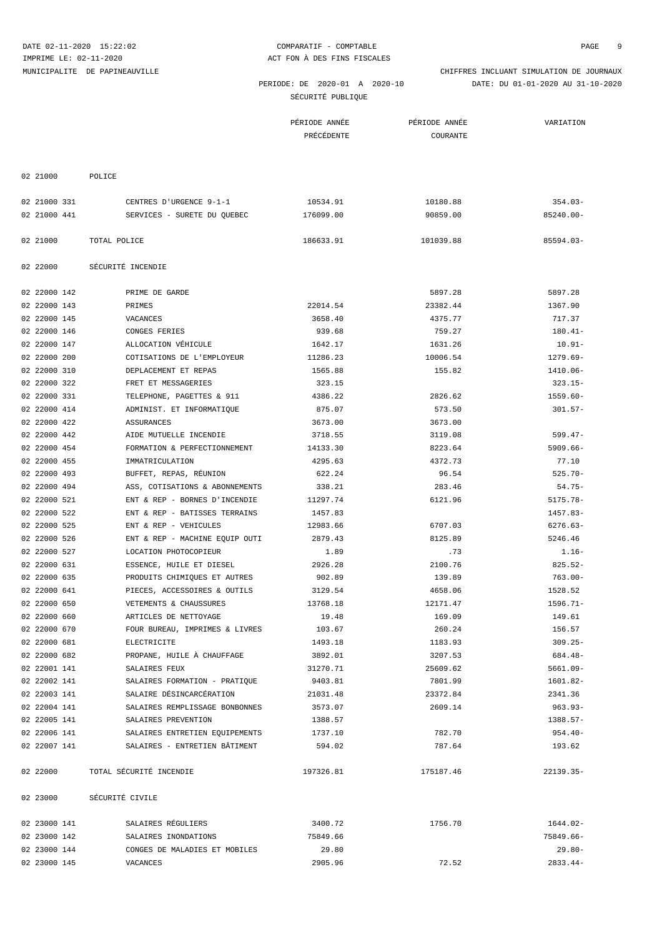| SÉCURITÉ PUBLIQUE |  |
|-------------------|--|
|                   |  |

|              |                                | PÉRIODE ANNÉE | PÉRIODE ANNÉE | VARIATION    |
|--------------|--------------------------------|---------------|---------------|--------------|
|              |                                | PRÉCÉDENTE    | COURANTE      |              |
|              |                                |               |               |              |
|              |                                |               |               |              |
| 02 21000     | POLICE                         |               |               |              |
|              |                                |               |               |              |
| 02 21000 331 | CENTRES D'URGENCE 9-1-1        | 10534.91      | 10180.88      | $354.03-$    |
| 02 21000 441 | SERVICES - SURETE DU QUEBEC    | 176099.00     | 90859.00      | 85240.00-    |
|              |                                |               |               |              |
| 02 21000     | TOTAL POLICE                   | 186633.91     | 101039.88     | $85594.03 -$ |
|              |                                |               |               |              |
| 02 22000     | SÉCURITÉ INCENDIE              |               |               |              |
|              |                                |               |               |              |
| 02 22000 142 | PRIME DE GARDE                 |               | 5897.28       | 5897.28      |
| 02 22000 143 | PRIMES                         | 22014.54      | 23382.44      | 1367.90      |
| 02 22000 145 | VACANCES                       | 3658.40       | 4375.77       | 717.37       |
| 02 22000 146 | CONGES FERIES                  | 939.68        | 759.27        | $180.41 -$   |
| 02 22000 147 | ALLOCATION VÉHICULE            | 1642.17       | 1631.26       | $10.91-$     |
| 02 22000 200 | COTISATIONS DE L'EMPLOYEUR     | 11286.23      | 10006.54      | $1279.69-$   |
| 02 22000 310 | DEPLACEMENT ET REPAS           | 1565.88       | 155.82        | 1410.06-     |
| 02 22000 322 | FRET ET MESSAGERIES            | 323.15        |               | $323.15-$    |
| 02 22000 331 | TELEPHONE, PAGETTES & 911      | 4386.22       | 2826.62       | $1559.60 -$  |
| 02 22000 414 | ADMINIST. ET INFORMATIQUE      | 875.07        | 573.50        | $301.57 -$   |
| 02 22000 422 | ASSURANCES                     | 3673.00       | 3673.00       |              |
| 02 22000 442 | AIDE MUTUELLE INCENDIE         | 3718.55       | 3119.08       | $599.47-$    |
| 02 22000 454 | FORMATION & PERFECTIONNEMENT   | 14133.30      | 8223.64       | $5909.66 -$  |
| 02 22000 455 | IMMATRICULATION                | 4295.63       | 4372.73       | 77.10        |
| 02 22000 493 | BUFFET, REPAS, RÉUNION         | 622.24        | 96.54         | $525.70 -$   |
| 02 22000 494 | ASS, COTISATIONS & ABONNEMENTS | 338.21        | 283.46        | $54.75-$     |
|              |                                |               |               |              |
| 02 22000 521 | ENT & REP - BORNES D'INCENDIE  | 11297.74      | 6121.96       | $5175.78 -$  |
| 02 22000 522 | ENT & REP - BATISSES TERRAINS  | 1457.83       |               | 1457.83-     |
| 02 22000 525 | ENT & REP - VEHICULES          | 12983.66      | 6707.03       | $6276.63-$   |
| 02 22000 526 | ENT & REP - MACHINE EQUIP OUTI | 2879.43       | 8125.89       | 5246.46      |
| 02 22000 527 | LOCATION PHOTOCOPIEUR          | 1.89          | .73           | $1.16-$      |
| 02 22000 631 | ESSENCE, HUILE ET DIESEL       | 2926.28       | 2100.76       | $825.52-$    |
| 02 22000 635 | PRODUITS CHIMIQUES ET AUTRES   | 902.89        | 139.89        | $763.00 -$   |
| 02 22000 641 | PIECES, ACCESSOIRES & OUTILS   | 3129.54       | 4658.06       | 1528.52      |
| 02 22000 650 | VETEMENTS & CHAUSSURES         | 13768.18      | 12171.47      | $1596.71 -$  |
| 02 22000 660 | ARTICLES DE NETTOYAGE          | 19.48         | 169.09        | 149.61       |
| 02 22000 670 | FOUR BUREAU, IMPRIMES & LIVRES | 103.67        | 260.24        | 156.57       |
| 02 22000 681 | ELECTRICITE                    | 1493.18       | 1183.93       | $309.25 -$   |
| 02 22000 682 | PROPANE, HUILE À CHAUFFAGE     | 3892.01       | 3207.53       | 684.48-      |
| 02 22001 141 | SALAIRES FEUX                  | 31270.71      | 25609.62      | $5661.09 -$  |
| 02 22002 141 | SALAIRES FORMATION - PRATIQUE  | 9403.81       | 7801.99       | 1601.82-     |
| 02 22003 141 | SALAIRE DÉSINCARCÉRATION       | 21031.48      | 23372.84      | 2341.36      |
| 02 22004 141 | SALAIRES REMPLISSAGE BONBONNES | 3573.07       | 2609.14       | $963.93 -$   |
| 02 22005 141 | SALAIRES PREVENTION            | 1388.57       |               | $1388.57-$   |
| 02 22006 141 | SALAIRES ENTRETIEN EQUIPEMENTS | 1737.10       | 782.70        | $954.40 -$   |
| 02 22007 141 | SALAIRES - ENTRETIEN BÂTIMENT  | 594.02        | 787.64        | 193.62       |
|              |                                |               |               |              |
| 02 22000     | TOTAL SÉCURITÉ INCENDIE        | 197326.81     | 175187.46     | 22139.35-    |
|              |                                |               |               |              |
| 02 23000     | SÉCURITÉ CIVILE                |               |               |              |
|              |                                |               |               |              |
| 02 23000 141 | SALAIRES RÉGULIERS             | 3400.72       | 1756.70       | 1644.02-     |
| 02 23000 142 | SALAIRES INONDATIONS           | 75849.66      |               | 75849.66-    |
| 02 23000 144 | CONGES DE MALADIES ET MOBILES  | 29.80         |               | $29.80 -$    |
| 02 23000 145 | VACANCES                       | 2905.96       | 72.52         | $2833.44-$   |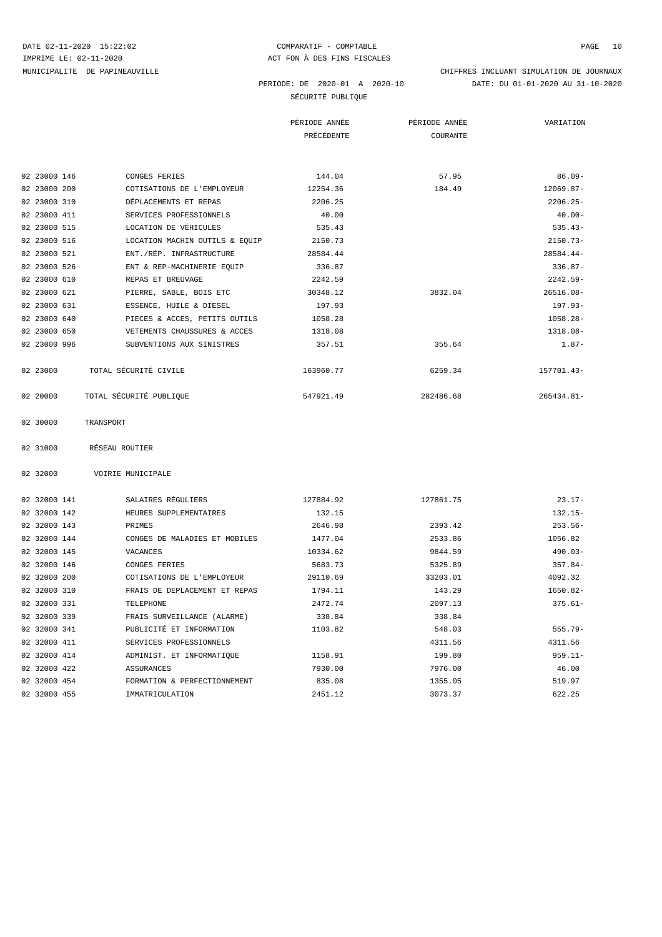# DATE 02-11-2020 15:22:02 COMPARATIF - COMPTABLE COMPTABLE PAGE 10

 PERIODE: DE 2020-01 A 2020-10 DATE: DU 01-01-2020 AU 31-10-2020 MUNICIPALITE DE PAPINEAUVILLE CHIFFRES INCLUANT SIMULATION DE JOURNAUX

SÉCURITÉ PUBLIQUE

|              |                                | PÉRIODE ANNÉE | PÉRIODE ANNÉE | VARIATION   |
|--------------|--------------------------------|---------------|---------------|-------------|
|              |                                | PRÉCÉDENTE    | COURANTE      |             |
|              |                                |               |               |             |
| 02 23000 146 | CONGES FERIES                  | 144.04        | 57.95         | $86.09 -$   |
| 02 23000 200 | COTISATIONS DE L'EMPLOYEUR     | 12254.36      | 184.49        | 12069.87-   |
| 02 23000 310 | DÉPLACEMENTS ET REPAS          | 2206.25       |               | $2206.25 -$ |
| 02 23000 411 | SERVICES PROFESSIONNELS        | 40.00         |               | $40.00 -$   |
| 02 23000 515 | LOCATION DE VÉHICULES          | 535.43        |               | $535.43-$   |
| 02 23000 516 | LOCATION MACHIN OUTILS & EQUIP | 2150.73       |               | $2150.73-$  |
| 02 23000 521 | ENT./RÉP. INFRASTRUCTURE       | 28584.44      |               | $28584.44-$ |
| 02 23000 526 | ENT & REP-MACHINERIE EQUIP     | 336.87        |               | $336.87-$   |
| 02 23000 610 | REPAS ET BREUVAGE              | 2242.59       |               | $2242.59-$  |
| 02 23000 621 | PIERRE, SABLE, BOIS ETC        | 30348.12      | 3832.04       | $26516.08-$ |
| 02 23000 631 | ESSENCE, HUILE & DIESEL        | 197.93        |               | 197.93-     |
| 02 23000 640 | PIECES & ACCES, PETITS OUTILS  | 1058.28       |               | $1058.28 -$ |
| 02 23000 650 | VETEMENTS CHAUSSURES & ACCES   | 1318.08       |               | 1318.08-    |
| 02 23000 996 | SUBVENTIONS AUX SINISTRES      | 357.51        | 355.64        | $1.87-$     |
| 02 23000     | TOTAL SÉCURITÉ CIVILE          | 163960.77     | 6259.34       | 157701.43-  |
| 02 20000     | TOTAL SÉCURITÉ PUBLIQUE        | 547921.49     | 282486.68     | 265434.81-  |
| 02 30000     | TRANSPORT                      |               |               |             |
| 02 31000     | RÉSEAU ROUTIER                 |               |               |             |
| 02 32000     | VOIRIE MUNICIPALE              |               |               |             |
| 02 32000 141 | SALAIRES RÉGULIERS             | 127884.92     | 127861.75     | $23.17-$    |

| 02 32000 142 | HEURES SUPPLEMENTAIRES        | 132.15   |          | $132.15-$   |
|--------------|-------------------------------|----------|----------|-------------|
| 02 32000 143 | PRIMES                        | 2646.98  | 2393.42  | $253.56 -$  |
| 02 32000 144 | CONGES DE MALADIES ET MOBILES | 1477.04  | 2533.86  | 1056.82     |
| 02 32000 145 | VACANCES                      | 10334.62 | 9844.59  | $490.03-$   |
| 02 32000 146 | CONGES FERIES                 | 5683.73  | 5325.89  | $357.84-$   |
| 02 32000 200 | COTISATIONS DE L'EMPLOYEUR    | 29110.69 | 33203.01 | 4092.32     |
| 02 32000 310 | FRAIS DE DEPLACEMENT ET REPAS | 1794.11  | 143.29   | $1650.82 -$ |
| 02 32000 331 | TELEPHONE                     | 2472.74  | 2097.13  | $375.61 -$  |
| 02 32000 339 | FRAIS SURVEILLANCE (ALARME)   | 338.84   | 338.84   |             |
| 02 32000 341 | PUBLICITÉ ET INFORMATION      | 1103.82  | 548.03   | $555.79 -$  |
| 02 32000 411 | SERVICES PROFESSIONNELS       |          | 4311.56  | 4311.56     |
| 02 32000 414 | ADMINIST. ET INFORMATIOUE     | 1158.91  | 199.80   | $959.11 -$  |
| 02 32000 422 | ASSURANCES                    | 7930.00  | 7976.00  | 46.00       |
| 02 32000 454 | FORMATION & PERFECTIONNEMENT  | 835.08   | 1355.05  | 519.97      |
| 02 32000 455 | IMMATRICULATION               | 2451.12  | 3073.37  | 622.25      |
|              |                               |          |          |             |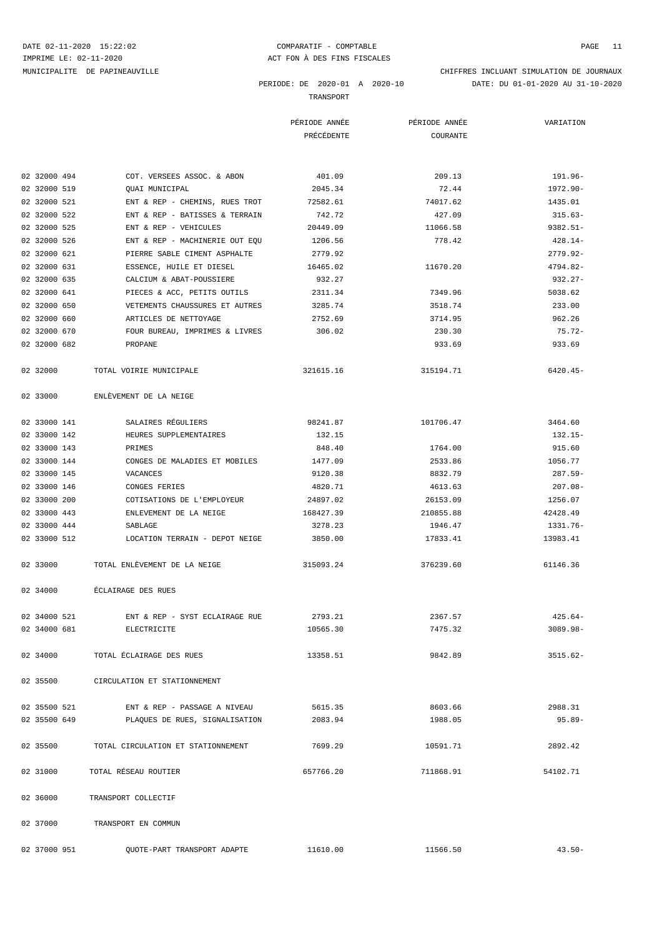IMPRIME LE: 02-11-2020 <br>
ACT FON À DES FINS FISCALES MUNICIPALITE DE PAPINEAUVILLE CHIFFRES INCLUANT SIMULATION DE JOURNAUX

DATE 02-11-2020 15:22:02 COMPARATIF - COMPTABLE COMPTABLE PAGE 11

PERIODE: DE 2020-01 A 2020-10 DATE: DU 01-01-2020 AU 31-10-2020

TRANSPORT

|                                          |                                    | PÉRIODE ANNÉE | PÉRIODE ANNÉE | VARIATION   |
|------------------------------------------|------------------------------------|---------------|---------------|-------------|
|                                          |                                    | PRÉCÉDENTE    | COURANTE      |             |
|                                          |                                    |               |               |             |
| 02 32000 494                             | COT. VERSEES ASSOC. & ABON         | 401.09        | 209.13        | 191.96-     |
| 02 32000 519                             | OUAI MUNICIPAL                     | 2045.34       | 72.44         | 1972.90-    |
| 02 32000 521                             | ENT & REP - CHEMINS, RUES TROT     | 72582.61      | 74017.62      | 1435.01     |
| 02 32000 522                             | ENT & REP - BATISSES & TERRAIN     | 742.72        | 427.09        | $315.63-$   |
| 02 32000 525                             | ENT & REP - VEHICULES              | 20449.09      | 11066.58      | $9382.51 -$ |
| 02 32000 526                             | ENT & REP - MACHINERIE OUT EOU     | 1206.56       | 778.42        | 428.14-     |
| 02 32000 621                             | PIERRE SABLE CIMENT ASPHALTE       | 2779.92       |               | $2779.92 -$ |
| 02 32000 631                             | ESSENCE, HUILE ET DIESEL           | 16465.02      | 11670.20      | $4794.82-$  |
| 02 32000 635                             | CALCIUM & ABAT-POUSSIERE           | 932.27        |               | 932.27-     |
| 02 32000 641                             | PIECES & ACC, PETITS OUTILS        | 2311.34       | 7349.96       | 5038.62     |
| 02 32000 650                             | VETEMENTS CHAUSSURES ET AUTRES     | 3285.74       | 3518.74       | 233.00      |
| 02 32000 660                             | ARTICLES DE NETTOYAGE              | 2752.69       | 3714.95       | 962.26      |
| 02 32000 670                             | FOUR BUREAU, IMPRIMES & LIVRES     | 306.02        | 230.30        | 75.72-      |
| 02 32000 682<br>PROPANE                  |                                    |               | 933.69        | 933.69      |
| 02 32000<br>TOTAL VOIRIE MUNICIPALE      |                                    | 321615.16     | 315194.71     | $6420.45 -$ |
| ENLEVEMENT DE LA NEIGE<br>02 33000       |                                    |               |               |             |
| 02 33000 141                             | SALAIRES RÉGULIERS                 | 98241.87      | 101706.47     | 3464.60     |
| 02 33000 142                             | HEURES SUPPLEMENTAIRES             | 132.15        |               | $132.15-$   |
| 02 33000 143<br>PRIMES                   |                                    | 848.40        | 1764.00       | 915.60      |
| 02 33000 144                             | CONGES DE MALADIES ET MOBILES      | 1477.09       | 2533.86       | 1056.77     |
| 02 33000 145<br>VACANCES                 |                                    | 9120.38       | 8832.79       | $287.59-$   |
| 02 33000 146                             | CONGES FERIES                      | 4820.71       | 4613.63       | 207.08-     |
| 02 33000 200                             | COTISATIONS DE L'EMPLOYEUR         | 24897.02      | 26153.09      | 1256.07     |
| 02 33000 443                             | ENLEVEMENT DE LA NEIGE             | 168427.39     | 210855.88     | 42428.49    |
| 02 33000 444<br>SABLAGE                  |                                    | 3278.23       | 1946.47       | 1331.76-    |
| 02 33000 512                             | LOCATION TERRAIN - DEPOT NEIGE     | 3850.00       | 17833.41      | 13983.41    |
| 02 33000                                 | TOTAL ENLEVEMENT DE LA NEIGE       | 315093.24     | 376239.60     | 61146.36    |
| 02 34000<br>ÉCLAIRAGE DES RUES           |                                    |               |               |             |
| 02 34000 521                             | ENT & REP - SYST ECLAIRAGE RUE     | 2793.21       | 2367.57       | $425.64-$   |
| 02 34000 681<br>ELECTRICITE              |                                    | 10565.30      | 7475.32       | $3089.98 -$ |
| 02 34000 TOTAL ÉCLAIRAGE DES RUES        |                                    | 13358.51      | 9842.89       | $3515.62-$  |
| 02 35500<br>CIRCULATION ET STATIONNEMENT |                                    |               |               |             |
| 02 35500 521                             | ENT & REP - PASSAGE A NIVEAU       | 5615.35       | 8603.66       | 2988.31     |
| 02 35500 649                             | PLAQUES DE RUES, SIGNALISATION     | 2083.94       | 1988.05       | $95.89 -$   |
| 02 35500                                 | TOTAL CIRCULATION ET STATIONNEMENT | 7699.29       | 10591.71      | 2892.42     |
| TOTAL RÉSEAU ROUTIER<br>02 31000         |                                    | 657766.20     | 711868.91     | 54102.71    |
| 02 36000<br>TRANSPORT COLLECTIF          |                                    |               |               |             |
| 02 37000<br>TRANSPORT EN COMMUN          |                                    |               |               |             |

02 37000 951 QUOTE-PART TRANSPORT ADAPTE 11610.00 11566.50 11566.50 43.50-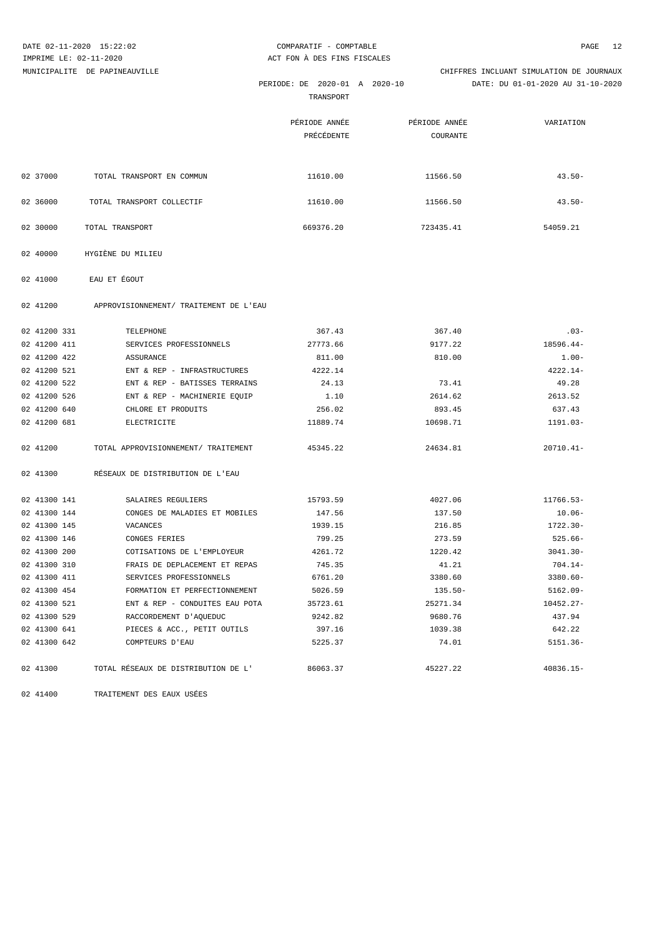|              | DATE 02-11-2020 15:22:02               | COMPARATIF - COMPTABLE                     |                           | 12<br>PAGE                                                                    |
|--------------|----------------------------------------|--------------------------------------------|---------------------------|-------------------------------------------------------------------------------|
|              | IMPRIME LE: 02-11-2020                 | ACT FON A DES FINS FISCALES                |                           |                                                                               |
|              | MUNICIPALITE DE PAPINEAUVILLE          | PERIODE: DE 2020-01 A 2020-10<br>TRANSPORT |                           | CHIFFRES INCLUANT SIMULATION DE JOURNAUX<br>DATE: DU 01-01-2020 AU 31-10-2020 |
|              |                                        | PÉRIODE ANNÉE<br>PRÉCÉDENTE                | PÉRIODE ANNÉE<br>COURANTE | VARIATION                                                                     |
| 02 37000     | TOTAL TRANSPORT EN COMMUN              | 11610.00                                   | 11566.50                  | $43.50 -$                                                                     |
| 02 36000     | TOTAL TRANSPORT COLLECTIF              | 11610.00                                   | 11566.50                  | $43.50 -$                                                                     |
| 02 30000     | TOTAL TRANSPORT                        | 669376.20                                  | 723435.41                 | 54059.21                                                                      |
| 02 40000     | HYGIÈNE DU MILIEU                      |                                            |                           |                                                                               |
| 02 41000     | EAU ET ÉGOUT                           |                                            |                           |                                                                               |
| 02 41200     | APPROVISIONNEMENT/ TRAITEMENT DE L'EAU |                                            |                           |                                                                               |
| 02 41200 331 | TELEPHONE                              | 367.43                                     | 367.40                    | $.03-$                                                                        |
| 02 41200 411 | SERVICES PROFESSIONNELS                | 27773.66                                   | 9177.22                   | 18596.44-                                                                     |
| 02 41200 422 | ASSURANCE                              | 811.00                                     | 810.00                    | $1.00 -$                                                                      |
| 02 41200 521 | ENT & REP - INFRASTRUCTURES            | 4222.14                                    |                           | $4222.14-$                                                                    |
| 02 41200 522 | ENT & REP - BATISSES TERRAINS          | 24.13                                      | 73.41                     | 49.28                                                                         |
| 02 41200 526 | ENT & REP - MACHINERIE EQUIP           | 1.10                                       | 2614.62                   | 2613.52                                                                       |
| 02 41200 640 | CHLORE ET PRODUITS                     | 256.02                                     | 893.45                    | 637.43                                                                        |
| 02 41200 681 | ELECTRICITE                            | 11889.74                                   | 10698.71                  | 1191.03-                                                                      |
| 02 41200     | TOTAL APPROVISIONNEMENT/ TRAITEMENT    | 45345.22                                   | 24634.81                  | $20710.41 -$                                                                  |
| 02 41300     | RÉSEAUX DE DISTRIBUTION DE L'EAU       |                                            |                           |                                                                               |
| 02 41300 141 | SALAIRES REGULIERS                     | 15793.59                                   | 4027.06                   | 11766.53-                                                                     |
| 02 41300 144 | CONGES DE MALADIES ET MOBILES          | 147.56                                     | 137.50                    | $10.06 -$                                                                     |
| 02 41300 145 | VACANCES                               | 1939.15                                    | 216.85                    | $1722.30 -$                                                                   |
| 02 41300 146 | CONGES FERIES                          | 799.25                                     | 273.59                    | $525.66 -$                                                                    |
| 02 41300 200 | COTISATIONS DE L'EMPLOYEUR             | 4261.72                                    | 1220.42                   | $3041.30 -$                                                                   |
| 02 41300 310 | FRAIS DE DEPLACEMENT ET REPAS          | 745.35                                     | 41.21                     | $704.14-$                                                                     |
| 02 41300 411 | SERVICES PROFESSIONNELS                | 6761.20                                    | 3380.60                   | $3380.60 -$                                                                   |
| 02 41300 454 | FORMATION ET PERFECTIONNEMENT          | 5026.59                                    | $135.50-$                 | $5162.09 -$                                                                   |
| 02 41300 521 | ENT & REP - CONDUITES EAU POTA         | 35723.61                                   | 25271.34                  | 10452.27-                                                                     |
| 02 41300 529 | RACCORDEMENT D'AQUEDUC                 | 9242.82                                    | 9680.76                   | 437.94                                                                        |
| 02 41300 641 | PIECES & ACC., PETIT OUTILS            | 397.16                                     | 1039.38                   | 642.22                                                                        |
| 02 41300 642 | COMPTEURS D'EAU                        | 5225.37                                    | 74.01                     | $5151.36-$                                                                    |
| 02 41300     | TOTAL RÉSEAUX DE DISTRIBUTION DE L'    | 86063.37                                   | 45227.22                  | $40836.15 -$                                                                  |

02 41400 TRAITEMENT DES EAUX USÉES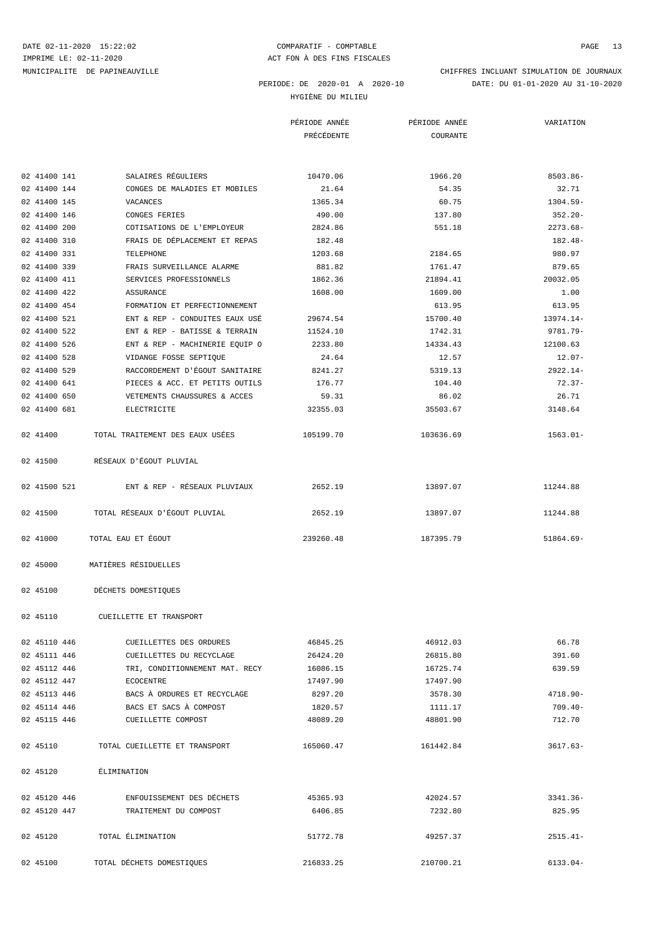HYGIÈNE DU MILIEU

|              |                                 | PÉRIODE ANNÉE<br>PRÉCÉDENTE | PÉRIODE ANNÉE<br>COURANTE | VARIATION   |
|--------------|---------------------------------|-----------------------------|---------------------------|-------------|
|              |                                 |                             |                           |             |
| 02 41400 141 | SALAIRES RÉGULIERS              | 10470.06                    | 1966.20                   | $8503.86 -$ |
| 02 41400 144 | CONGES DE MALADIES ET MOBILES   | 21.64                       | 54.35                     | 32.71       |
| 02 41400 145 | VACANCES                        | 1365.34                     | 60.75                     | $1304.59-$  |
| 02 41400 146 | CONGES FERIES                   | 490.00                      | 137.80                    | $352.20 -$  |
| 02 41400 200 | COTISATIONS DE L'EMPLOYEUR      | 2824.86                     | 551.18                    | $2273.68-$  |
| 02 41400 310 | FRAIS DE DÉPLACEMENT ET REPAS   | 182.48                      |                           | $182.48-$   |
| 02 41400 331 | TELEPHONE                       | 1203.68                     | 2184.65                   | 980.97      |
| 02 41400 339 | FRAIS SURVEILLANCE ALARME       | 881.82                      | 1761.47                   | 879.65      |
| 02 41400 411 | SERVICES PROFESSIONNELS         | 1862.36                     | 21894.41                  | 20032.05    |
| 02 41400 422 | ASSURANCE                       | 1608.00                     | 1609.00                   | 1.00        |
| 02 41400 454 | FORMATION ET PERFECTIONNEMENT   |                             | 613.95                    | 613.95      |
| 02 41400 521 | ENT & REP - CONDUITES EAUX USÉ  | 29674.54                    | 15700.40                  | 13974.14-   |
| 02 41400 522 | ENT & REP - BATISSE & TERRAIN   | 11524.10                    | 1742.31                   | 9781.79-    |
| 02 41400 526 | ENT & REP - MACHINERIE EQUIP O  | 2233.80                     | 14334.43                  | 12100.63    |
| 02 41400 528 | VIDANGE FOSSE SEPTIQUE          | 24.64                       | 12.57                     | $12.07-$    |
| 02 41400 529 | RACCORDEMENT D'ÉGOUT SANITAIRE  | 8241.27                     | 5319.13                   | $2922.14-$  |
| 02 41400 641 | PIECES & ACC. ET PETITS OUTILS  | 176.77                      | 104.40                    | $72.37-$    |
| 02 41400 650 | VETEMENTS CHAUSSURES & ACCES    | 59.31                       | 86.02                     | 26.71       |
| 02 41400 681 | ELECTRICITE                     | 32355.03                    | 35503.67                  | 3148.64     |
| 02 41400     | TOTAL TRAITEMENT DES EAUX USÉES | 105199.70                   | 103636.69                 | $1563.01 -$ |
| 02 41500     | RÉSEAUX D'ÉGOUT PLUVIAL         |                             |                           |             |
| 02 41500 521 | ENT & REP - RÉSEAUX PLUVIAUX    | 2652.19                     | 13897.07                  | 11244.88    |
| 02 41500     | TOTAL RÉSEAUX D'ÉGOUT PLUVIAL   | 2652.19                     | 13897.07                  | 11244.88    |
| 02 41000     | TOTAL EAU ET ÉGOUT              | 239260.48                   | 187395.79                 | $51864.69-$ |
| 02 45000     | MATIÈRES RÉSIDUELLES            |                             |                           |             |
| 02 45100     | DÉCHETS DOMESTIQUES             |                             |                           |             |
| 02 45110     | CUEILLETTE ET TRANSPORT         |                             |                           |             |
| 02 45110 446 | CUEILLETTES DES ORDURES         | 46845.25                    | 46912.03                  | 66.78       |
| 02 45111 446 | CUEILLETTES DU RECYCLAGE        | 26424.20                    | 26815.80                  | 391.60      |
| 02 45112 446 | TRI, CONDITIONNEMENT MAT. RECY  | 16086.15                    | 16725.74                  | 639.59      |
| 02 45112 447 | ECOCENTRE                       | 17497.90                    | 17497.90                  |             |
| 02 45113 446 | BACS À ORDURES ET RECYCLAGE     | 8297.20                     | 3578.30                   | $4718.90 -$ |
| 02 45114 446 | BACS ET SACS À COMPOST          | 1820.57                     | 1111.17                   | 709.40-     |
| 02 45115 446 | CUEILLETTE COMPOST              | 48089.20                    | 48801.90                  | 712.70      |
| 02 45110     | TOTAL CUEILLETTE ET TRANSPORT   | 165060.47                   | 161442.84                 | $3617.63-$  |
| 02 45120     | ÉLIMINATION                     |                             |                           |             |
| 02 45120 446 | ENFOUISSEMENT DES DÉCHETS       | 45365.93                    | 42024.57                  | $3341.36-$  |
| 02 45120 447 | TRAITEMENT DU COMPOST           | 6406.85                     | 7232.80                   | 825.95      |
| 02 45120     | TOTAL ELIMINATION               | 51772.78                    | 49257.37                  | $2515.41-$  |

02 45100 TOTAL DÉCHETS DOMESTIQUES 216833.25 210700.21 6133.04-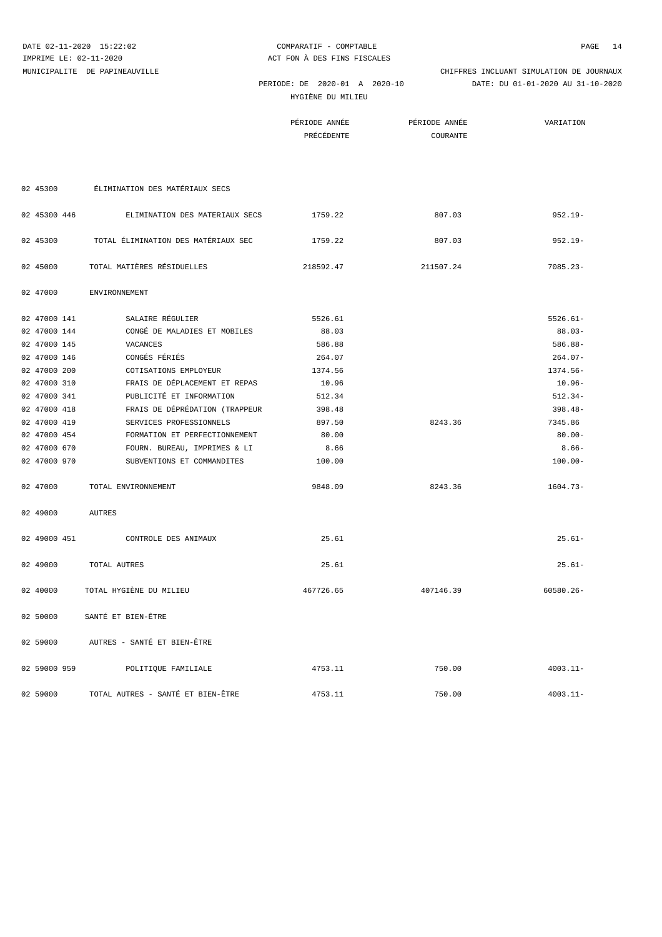HYGIÈNE DU MILIEU

PÉRIODE ANNÉE PÉRIODE ANNÉE VARIATION

 PERIODE: DE 2020-01 A 2020-10 DATE: DU 01-01-2020 AU 31-10-2020 MUNICIPALITE DE PAPINEAUVILLE CHIFFRES INCLUANT SIMULATION DE JOURNAUX

|              |                                     | PRÉCÉDENTE | COURANTE  |              |
|--------------|-------------------------------------|------------|-----------|--------------|
|              |                                     |            |           |              |
|              |                                     |            |           |              |
| 02 45300     | ÉLIMINATION DES MATÉRIAUX SECS      |            |           |              |
|              |                                     |            |           |              |
| 02 45300 446 | ELIMINATION DES MATERIAUX SECS      | 1759.22    | 807.03    | $952.19 -$   |
| 02 45300     | TOTAL ÉLIMINATION DES MATÉRIAUX SEC | 1759.22    | 807.03    | $952.19 -$   |
| 02 45000     | TOTAL MATIÈRES RÉSIDUELLES          | 218592.47  | 211507.24 | $7085.23 -$  |
| 02 47000     | <b>ENVIRONNEMENT</b>                |            |           |              |
| 02 47000 141 | SALAIRE RÉGULIER                    | 5526.61    |           | $5526.61 -$  |
| 02 47000 144 | CONGÉ DE MALADIES ET MOBILES        | 88.03      |           | $88.03 -$    |
| 02 47000 145 | VACANCES                            | 586.88     |           | $586.88-$    |
| 02 47000 146 | CONGÉS FÉRIÉS                       | 264.07     |           | $264.07-$    |
| 02 47000 200 | COTISATIONS EMPLOYEUR               | 1374.56    |           | 1374.56-     |
| 02 47000 310 | FRAIS DE DÉPLACEMENT ET REPAS       | 10.96      |           | $10.96 -$    |
| 02 47000 341 | PUBLICITÉ ET INFORMATION            | 512.34     |           | $512.34-$    |
| 02 47000 418 | FRAIS DE DÉPRÉDATION (TRAPPEUR      | 398.48     |           | $398.48 -$   |
| 02 47000 419 | SERVICES PROFESSIONNELS             | 897.50     | 8243.36   | 7345.86      |
| 02 47000 454 | FORMATION ET PERFECTIONNEMENT       | 80.00      |           | $80.00 -$    |
| 02 47000 670 | FOURN. BUREAU, IMPRIMES & LI        | 8.66       |           | $8.66 -$     |
| 02 47000 970 | SUBVENTIONS ET COMMANDITES          | 100.00     |           | $100.00 -$   |
| 02 47000     | TOTAL ENVIRONNEMENT                 | 9848.09    | 8243.36   | $1604.73-$   |
| 02 49000     | <b>AUTRES</b>                       |            |           |              |
| 02 49000 451 | CONTROLE DES ANIMAUX                | 25.61      |           | $25.61-$     |
| 02 49000     | TOTAL AUTRES                        | 25.61      |           | $25.61-$     |
| 02 40000     | TOTAL HYGIÈNE DU MILIEU             | 467726.65  | 407146.39 | $60580.26 -$ |
| 02 50000     | SANTÉ ET BIEN-ÊTRE                  |            |           |              |
| 02 59000     | AUTRES - SANTÉ ET BIEN-ÊTRE         |            |           |              |
| 02 59000 959 | POLITIQUE FAMILIALE                 | 4753.11    | 750.00    | $4003.11 -$  |

02 59000 TOTAL AUTRES - SANTÉ ET BIEN-ÊTRE 4753.11 750.00 4003.11-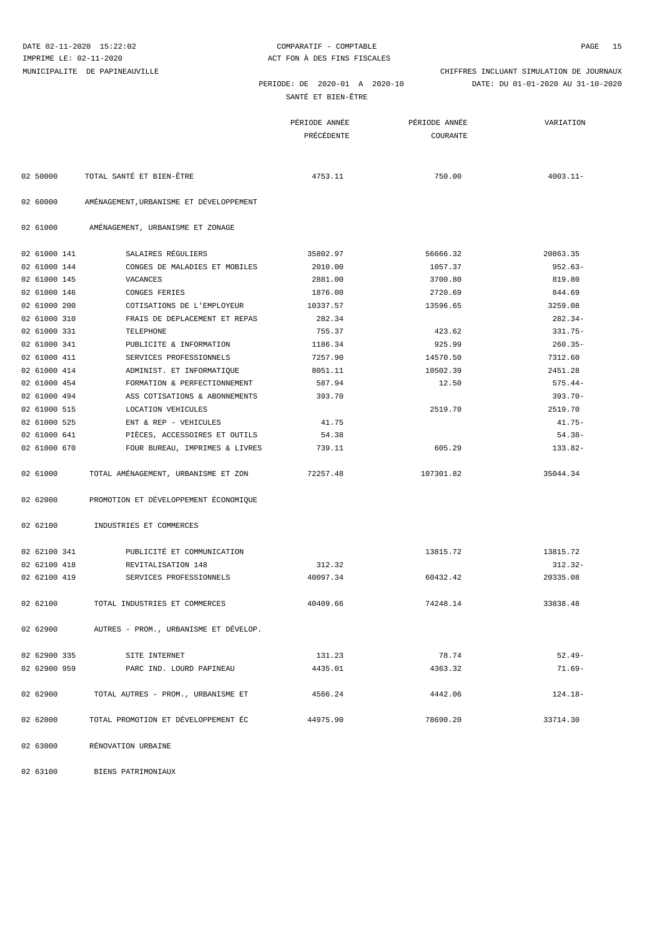SAN

 PERIODE: DE 2020-01 A 2020-10 DATE: DU 01-01-2020 AU 31-10-2020 MUNICIPALITE DE PAPINEAUVILLE CHIFFRES INCLUANT SIMULATION DE JOURNAUX

|  | ANTÉ ET BIEN-ÊTRE |  |
|--|-------------------|--|
|  |                   |  |

|              |                                         | PÉRIODE ANNÉE | PÉRIODE ANNÉE | VARIATION   |
|--------------|-----------------------------------------|---------------|---------------|-------------|
|              |                                         | PRÉCÉDENTE    | COURANTE      |             |
|              |                                         |               |               |             |
|              |                                         |               |               |             |
| 02 50000     | TOTAL SANTÉ ET BIEN-ÊTRE                | 4753.11       | 750.00        | $4003.11 -$ |
|              |                                         |               |               |             |
| 02 60000     | AMÉNAGEMENT, URBANISME ET DÉVELOPPEMENT |               |               |             |
|              |                                         |               |               |             |
| 02 61000     | AMÉNAGEMENT, URBANISME ET ZONAGE        |               |               |             |
|              |                                         |               |               |             |
| 02 61000 141 | SALAIRES RÉGULIERS                      | 35802.97      | 56666.32      | 20863.35    |
| 02 61000 144 | CONGES DE MALADIES ET MOBILES           | 2010.00       | 1057.37       | $952.63 -$  |
| 02 61000 145 | VACANCES                                | 2881.00       | 3700.80       | 819.80      |

| 02 61000     | AMÉNAGEMENT, URBANISME ET ZONAGE |          |          |            |
|--------------|----------------------------------|----------|----------|------------|
| 02 61000 141 | SALAIRES RÉGULIERS               | 35802.97 | 56666.32 | 20863.35   |
| 02 61000 144 | CONGES DE MALADIES ET MOBILES    | 2010.00  | 1057.37  | $952.63 -$ |
| 02 61000 145 | VACANCES                         | 2881.00  | 3700.80  | 819.80     |
| 02 61000 146 | CONGES FERIES                    | 1876.00  | 2720.69  | 844.69     |
| 02 61000 200 | COTISATIONS DE L'EMPLOYEUR       | 10337.57 | 13596.65 | 3259.08    |
| 02 61000 310 | FRAIS DE DEPLACEMENT ET REPAS    | 282.34   |          | $282.34-$  |
| 02 61000 331 | TELEPHONE                        | 755.37   | 423.62   | $331.75-$  |
| 02 61000 341 | PUBLICITE & INFORMATION          | 1186.34  | 925.99   | $260.35-$  |
| 02 61000 411 | SERVICES PROFESSIONNELS          | 7257.90  | 14570.50 | 7312.60    |
| 02 61000 414 | ADMINIST. ET INFORMATIOUE        | 8051.11  | 10502.39 | 2451.28    |
| 02 61000 454 | FORMATION & PERFECTIONNEMENT     | 587.94   | 12.50    | $575.44-$  |
| 02 61000 494 | ASS COTISATIONS & ABONNEMENTS    | 393.70   |          | $393.70 -$ |
| 02 61000 515 | LOCATION VEHICULES               |          | 2519.70  | 2519.70    |
| 02 61000 525 | ENT & REP - VEHICULES            | 41.75    |          | $41.75 -$  |
| 02 61000 641 | PIÈCES, ACCESSOIRES ET OUTILS    | 54.38    |          | $54.38 -$  |
| 02 61000 670 | FOUR BUREAU, IMPRIMES & LIVRES   | 739.11   | 605.29   | $133.82-$  |
|              |                                  |          |          |            |

02 61000 TOTAL AMÉNAGEMENT, URBANISME ET ZON 72257.48 107301.82 107301.82

02 62000 PROMOTION ET DÉVELOPPEMENT ÉCONOMIQUE

02 62100 INDUSTRIES ET COMMERCES

| 02 62100 341 | PUBLICITÉ ET COMMUNICATION            |          | 13815.72 | 13815.72   |
|--------------|---------------------------------------|----------|----------|------------|
| 02 62100 418 | REVITALISATION 148                    | 312.32   |          | $312.32 -$ |
| 02 62100 419 | SERVICES PROFESSIONNELS               | 40097.34 | 60432.42 | 20335.08   |
| 02 62100     | TOTAL INDUSTRIES ET COMMERCES         | 40409.66 | 74248.14 | 33838.48   |
|              |                                       |          |          |            |
| 02 62900     | AUTRES - PROM., URBANISME ET DÉVELOP. |          |          |            |
| 02 62900 335 | SITE INTERNET                         | 131.23   | 78.74    | $52.49-$   |
|              |                                       |          |          |            |
| 02 62900 959 | PARC IND. LOURD PAPINEAU              | 4435.01  | 4363.32  | $71.69 -$  |
| 02 62900     | TOTAL AUTRES - PROM., URBANISME ET    | 4566.24  | 4442.06  | $124.18-$  |
|              |                                       |          |          |            |
| 02 62000     | TOTAL PROMOTION ET DÉVELOPPEMENT ÉC   | 44975.90 | 78690.20 | 33714.30   |

02 63000 RÉNOVATION URBAINE

02 63100 BIENS PATRIMONIAUX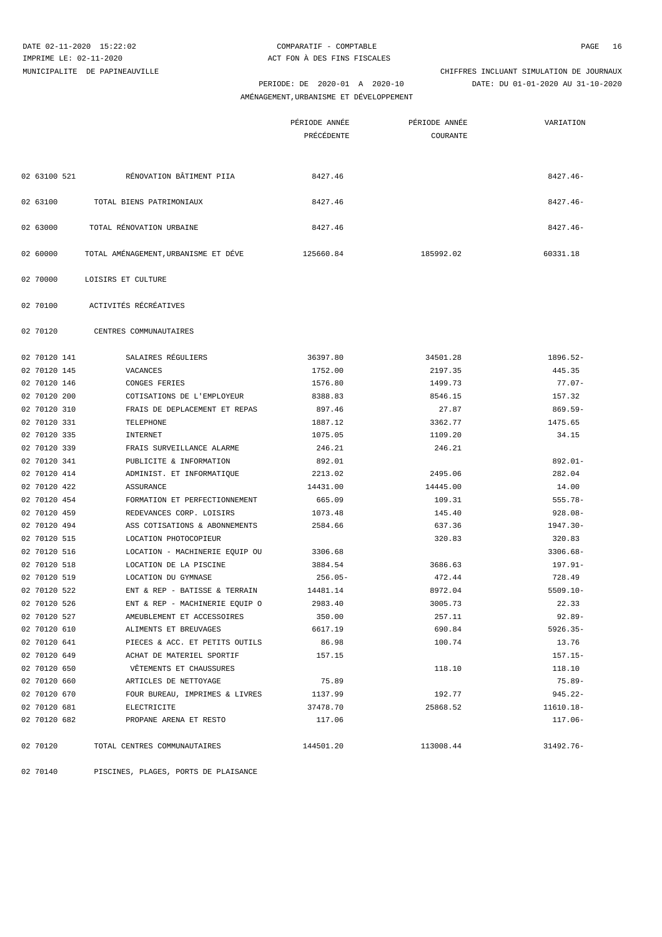AMÉNAGEMENT,URBANISME ET DÉVELOPPEMENT

|              |                                       | PÉRIODE ANNÉE<br>PRÉCÉDENTE | PÉRIODE ANNÉE<br>COURANTE | VARIATION   |
|--------------|---------------------------------------|-----------------------------|---------------------------|-------------|
|              |                                       |                             |                           |             |
| 02 63100 521 | RÉNOVATION BÂTIMENT PIIA              | 8427.46                     |                           | $8427.46 -$ |
| 02 63100     | TOTAL BIENS PATRIMONIAUX              | 8427.46                     |                           | $8427.46 -$ |
| 02 63000     | TOTAL RÉNOVATION URBAINE              | 8427.46                     |                           | $8427.46 -$ |
| 02 60000     | TOTAL AMÉNAGEMENT, URBANISME ET DÉVE  | 125660.84                   | 185992.02                 | 60331.18    |
| 02 70000     | LOISIRS ET CULTURE                    |                             |                           |             |
| 02 70100     | ACTIVITÉS RÉCRÉATIVES                 |                             |                           |             |
| 02 70120     | CENTRES COMMUNAUTAIRES                |                             |                           |             |
| 02 70120 141 | SALAIRES RÉGULIERS                    | 36397.80                    | 34501.28                  | 1896.52-    |
| 02 70120 145 | VACANCES                              | 1752.00                     | 2197.35                   | 445.35      |
| 02 70120 146 | CONGES FERIES                         | 1576.80                     | 1499.73                   | $77.07 -$   |
| 02 70120 200 | COTISATIONS DE L'EMPLOYEUR            | 8388.83                     | 8546.15                   | 157.32      |
| 02 70120 310 | FRAIS DE DEPLACEMENT ET REPAS         | 897.46                      | 27.87                     | $869.59 -$  |
| 02 70120 331 | TELEPHONE                             | 1887.12                     | 3362.77                   | 1475.65     |
| 02 70120 335 | INTERNET                              | 1075.05                     | 1109.20                   | 34.15       |
| 02 70120 339 | FRAIS SURVEILLANCE ALARME             | 246.21                      | 246.21                    |             |
| 02 70120 341 | PUBLICITE & INFORMATION               | 892.01                      |                           | $892.01 -$  |
| 02 70120 414 | ADMINIST. ET INFORMATIQUE             | 2213.02                     | 2495.06                   | 282.04      |
| 02 70120 422 | ASSURANCE                             | 14431.00                    | 14445.00                  | 14.00       |
| 02 70120 454 | FORMATION ET PERFECTIONNEMENT         | 665.09                      | 109.31                    | $555.78-$   |
| 02 70120 459 | REDEVANCES CORP. LOISIRS              | 1073.48                     | 145.40                    | $928.08 -$  |
| 02 70120 494 | ASS COTISATIONS & ABONNEMENTS         | 2584.66                     | 637.36                    | 1947.30-    |
| 02 70120 515 | LOCATION PHOTOCOPIEUR                 |                             | 320.83                    | 320.83      |
| 02 70120 516 | LOCATION - MACHINERIE EQUIP OU        | 3306.68                     |                           | $3306.68 -$ |
| 02 70120 518 | LOCATION DE LA PISCINE                | 3884.54                     | 3686.63                   | $197.91 -$  |
| 02 70120 519 | LOCATION DU GYMNASE                   | $256.05-$                   | 472.44                    | 728.49      |
| 02 70120 522 | ENT & REP - BATISSE & TERRAIN         | 14481.14                    | 8972.04                   | $5509.10 -$ |
| 02 70120 526 | ENT & REP - MACHINERIE EQUIP O        | 2983.40                     | 3005.73                   | 22.33       |
| 02 70120 527 | AMEUBLEMENT ET ACCESSOIRES            | 350.00                      | 257.11                    | $92.89 -$   |
| 02 70120 610 | ALIMENTS ET BREUVAGES                 | 6617.19                     | 690.84                    | $5926.35-$  |
| 02 70120 641 | PIECES & ACC. ET PETITS OUTILS        | 86.98                       | 100.74                    | 13.76       |
| 02 70120 649 | ACHAT DE MATERIEL SPORTIF             | 157.15                      |                           | $157.15-$   |
| 02 70120 650 | VÊTEMENTS ET CHAUSSURES               |                             | 118.10                    | 118.10      |
| 02 70120 660 | ARTICLES DE NETTOYAGE                 | 75.89                       |                           | 75.89-      |
| 02 70120 670 | FOUR BUREAU, IMPRIMES & LIVRES        | 1137.99                     | 192.77                    | $945.22 -$  |
| 02 70120 681 | ELECTRICITE<br>PROPANE ARENA ET RESTO | 37478.70<br>117.06          | 25868.52                  | 11610.18-   |
| 02 70120 682 |                                       |                             |                           | $117.06-$   |
| 02 70120     | TOTAL CENTRES COMMUNAUTAIRES          | 144501.20                   | 113008.44                 | 31492.76-   |

02 70140 PISCINES, PLAGES, PORTS DE PLAISANCE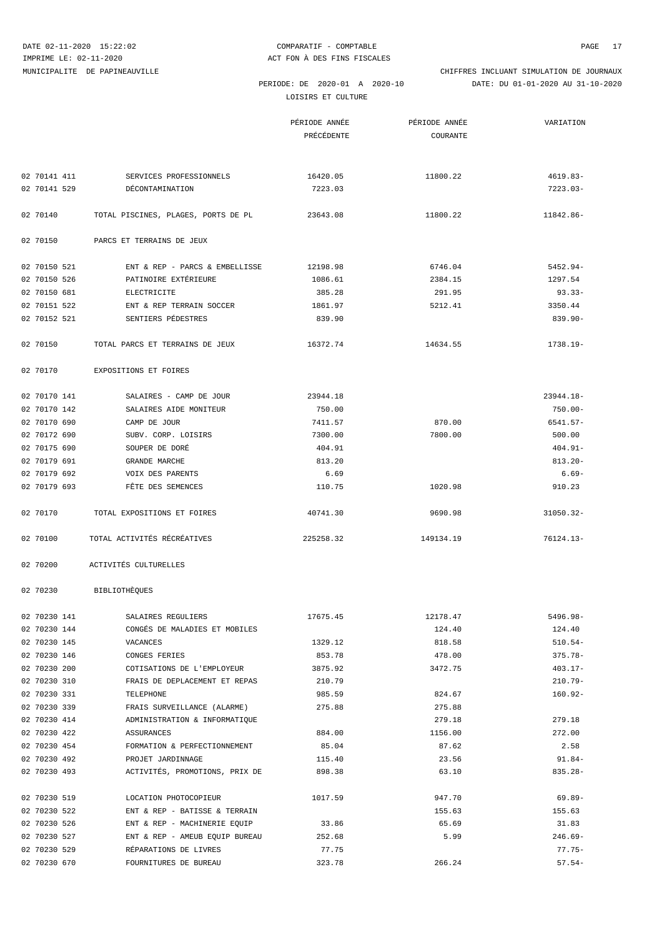LOISIRS ET CULTURE

MUNICIPALITE DE PAPINEAUVILLE CHIFFRES INCLUANT SIMULATION DE JOURNAUX

PERIODE: DE 2020-01 A 2020-10 DATE: DU 01-01-2020 AU 31-10-2020

|              |                                                   | PÉRIODE ANNÉE     | PÉRIODE ANNÉE | VARIATION    |
|--------------|---------------------------------------------------|-------------------|---------------|--------------|
|              |                                                   | <b>PRÉCÉDENTE</b> | COURANTE      |              |
|              |                                                   |                   |               |              |
|              |                                                   |                   |               |              |
| 02 70141 411 | SERVICES PROFESSIONNELS                           | 16420.05          | 11800.22      | $4619.83-$   |
| 02 70141 529 | DÉCONTAMINATION                                   | 7223.03           |               | $7223.03-$   |
| 02 70140     | TOTAL PISCINES, PLAGES, PORTS DE PL               | 23643.08          | 11800.22      | 11842.86-    |
| 02 70150     | PARCS ET TERRAINS DE JEUX                         |                   |               |              |
| 02 70150 521 | ENT & REP - PARCS & EMBELLISSE                    | 12198.98          | 6746.04       | $5452.94 -$  |
| 02 70150 526 | PATINOIRE EXTÉRIEURE                              | 1086.61           | 2384.15       | 1297.54      |
| 02 70150 681 | ELECTRICITE                                       | 385.28            | 291.95        | $93.33 -$    |
| 02 70151 522 | ENT & REP TERRAIN SOCCER                          | 1861.97           | 5212.41       | 3350.44      |
| 02 70152 521 | SENTIERS PÉDESTRES                                | 839.90            |               | $839.90 -$   |
| 02 70150     | TOTAL PARCS ET TERRAINS DE JEUX                   | 16372.74          | 14634.55      | 1738.19-     |
| 02 70170     | EXPOSITIONS ET FOIRES                             |                   |               |              |
| 02 70170 141 |                                                   | 23944.18          |               | $23944.18-$  |
| 02 70170 142 | SALAIRES - CAMP DE JOUR<br>SALAIRES AIDE MONITEUR | 750.00            |               | $750.00 -$   |
| 02 70170 690 | CAMP DE JOUR                                      | 7411.57           | 870.00        | $6541.57 -$  |
| 02 70172 690 | SUBV. CORP. LOISIRS                               | 7300.00           | 7800.00       | 500.00       |
| 02 70175 690 | SOUPER DE DORÉ                                    | 404.91            |               | $404.91 -$   |
| 02 70179 691 | GRANDE MARCHE                                     | 813.20            |               | $813.20 -$   |
| 02 70179 692 | VOIX DES PARENTS                                  | 6.69              |               | 6.69-        |
| 02 70179 693 | FÊTE DES SEMENCES                                 | 110.75            | 1020.98       | 910.23       |
|              |                                                   |                   |               |              |
| 02 70170     | TOTAL EXPOSITIONS ET FOIRES                       | 40741.30          | 9690.98       | $31050.32 -$ |
| 02 70100     | TOTAL ACTIVITÉS RÉCRÉATIVES                       | 225258.32         | 149134.19     | $76124.13-$  |
| 02 70200     | ACTIVITÉS CULTURELLES                             |                   |               |              |
| 02 70230     | <b>BIBLIOTHÈQUES</b>                              |                   |               |              |
| 02 70230 141 | SALAIRES REGULIERS                                | 17675.45          | 12178.47      | 5496.98-     |
| 02 70230 144 | CONGÉS DE MALADIES ET MOBILES                     |                   | 124.40        | 124.40       |
| 02 70230 145 | VACANCES                                          | 1329.12           | 818.58        | $510.54-$    |
| 02 70230 146 | CONGES FERIES                                     | 853.78            | 478.00        | $375.78 -$   |
| 02 70230 200 | COTISATIONS DE L'EMPLOYEUR                        | 3875.92           | 3472.75       | $403.17 -$   |
| 02 70230 310 | FRAIS DE DEPLACEMENT ET REPAS                     | 210.79            |               | $210.79 -$   |
| 02 70230 331 | TELEPHONE                                         | 985.59            | 824.67        | $160.92 -$   |
| 02 70230 339 | FRAIS SURVEILLANCE (ALARME)                       | 275.88            | 275.88        |              |
| 02 70230 414 | ADMINISTRATION & INFORMATIQUE                     |                   | 279.18        | 279.18       |
| 02 70230 422 | ASSURANCES                                        | 884.00            | 1156.00       | 272.00       |
| 02 70230 454 | FORMATION & PERFECTIONNEMENT                      | 85.04             | 87.62         | 2.58         |
| 02 70230 492 | PROJET JARDINNAGE                                 | 115.40            | 23.56         | $91.84-$     |
| 02 70230 493 | ACTIVITÉS, PROMOTIONS, PRIX DE                    | 898.38            | 63.10         | $835.28 -$   |
| 02 70230 519 | LOCATION PHOTOCOPIEUR                             | 1017.59           | 947.70        | $69.89 -$    |
| 02 70230 522 | ENT & REP - BATISSE & TERRAIN                     |                   | 155.63        | 155.63       |
| 02 70230 526 | ENT & REP - MACHINERIE EQUIP                      | 33.86             | 65.69         | 31.83        |
| 02 70230 527 | ENT & REP - AMEUB EQUIP BUREAU                    | 252.68            | 5.99          | $246.69-$    |
| 02 70230 529 | RÉPARATIONS DE LIVRES                             | 77.75             |               | $77.75-$     |
| 02 70230 670 | FOURNITURES DE BUREAU                             | 323.78            | 266.24        | $57.54-$     |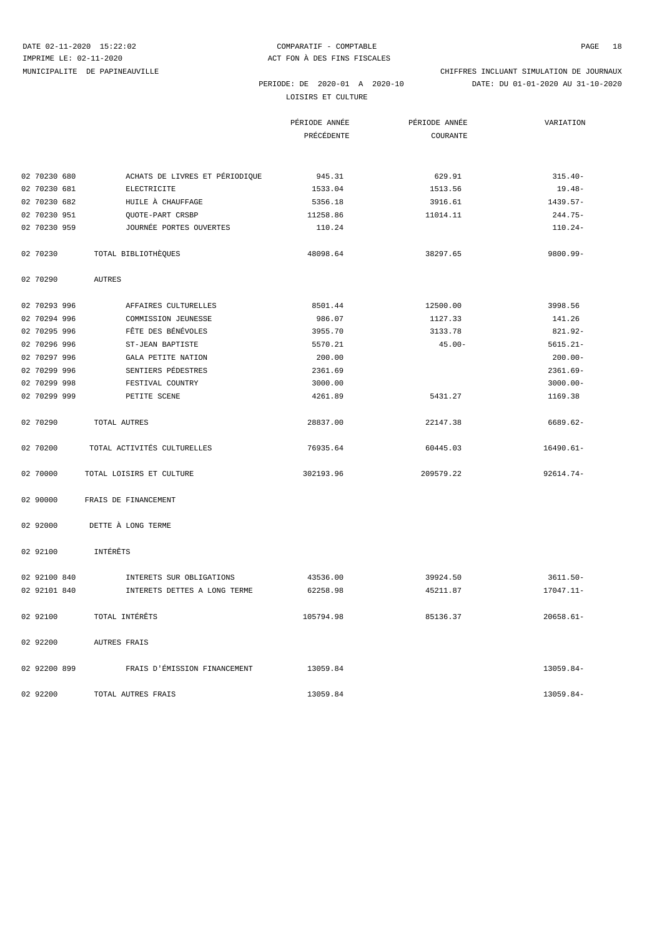LOISIRS ET CULTURE

|                                           |                                | PÉRIODE ANNÉE<br>PRÉCÉDENTE | PÉRIODE ANNÉE<br>COURANTE | VARIATION    |
|-------------------------------------------|--------------------------------|-----------------------------|---------------------------|--------------|
|                                           |                                |                             |                           |              |
| 02 70230 680                              | ACHATS DE LIVRES ET PÉRIODIQUE | 945.31                      | 629.91                    | $315.40-$    |
| 02 70230 681<br>ELECTRICITE               |                                | 1533.04                     | 1513.56                   | $19.48-$     |
| 02 70230 682<br>HUILE À CHAUFFAGE         |                                | 5356.18                     | 3916.61                   | $1439.57-$   |
| 02 70230 951<br>QUOTE-PART CRSBP          |                                | 11258.86                    | 11014.11                  | 244.75-      |
| 02 70230 959                              | JOURNÉE PORTES OUVERTES        | 110.24                      |                           | $110.24-$    |
| TOTAL BIBLIOTHEQUES<br>02 70230           |                                | 48098.64                    | 38297.65                  | 9800.99-     |
| 02 70290<br><b>AUTRES</b>                 |                                |                             |                           |              |
| 02 70293 996                              | AFFAIRES CULTURELLES           | 8501.44                     | 12500.00                  | 3998.56      |
| 02 70294 996<br>COMMISSION JEUNESSE       |                                | 986.07                      | 1127.33                   | 141.26       |
| FÊTE DES BÉNÉVOLES<br>02 70295 996        |                                | 3955.70                     | 3133.78                   | 821.92-      |
| 02 70296 996<br>ST-JEAN BAPTISTE          |                                | 5570.21                     | $45.00 -$                 | $5615.21 -$  |
| 02 70297 996<br><b>GALA PETITE NATION</b> |                                | 200.00                      |                           | $200.00 -$   |
| 02 70299 996<br>SENTIERS PÉDESTRES        |                                | 2361.69                     |                           | $2361.69-$   |
| 02 70299 998<br>FESTIVAL COUNTRY          |                                | 3000.00                     |                           | $3000.00 -$  |
| 02 70299 999<br>PETITE SCENE              |                                | 4261.89                     | 5431.27                   | 1169.38      |
| 02 70290<br>TOTAL AUTRES                  |                                | 28837.00                    | 22147.38                  | 6689.62-     |
| TOTAL ACTIVITÉS CULTURELLES<br>02 70200   |                                | 76935.64                    | 60445.03                  | $16490.61-$  |
| 02 70000<br>TOTAL LOISIRS ET CULTURE      |                                | 302193.96                   | 209579.22                 | 92614.74-    |
| 02 90000<br>FRAIS DE FINANCEMENT          |                                |                             |                           |              |
| 02 92000<br>DETTE À LONG TERME            |                                |                             |                           |              |
| 02 92100<br>INTÉRÊTS                      |                                |                             |                           |              |
| 02 92100 840                              | INTERETS SUR OBLIGATIONS       | 43536.00                    | 39924.50                  | $3611.50 -$  |
| 02 92101 840                              | INTERETS DETTES A LONG TERME   | 62258.98                    | 45211.87                  | 17047.11-    |
| TOTAL INTÉRÊTS<br>02 92100                |                                | 105794.98                   | 85136.37                  | $20658.61 -$ |
| 02 92200<br><b>AUTRES FRAIS</b>           |                                |                             |                           |              |
| 02 92200 899                              | FRAIS D'ÉMISSION FINANCEMENT   | 13059.84                    |                           | 13059.84-    |
| 02 92200<br>TOTAL AUTRES FRAIS            |                                | 13059.84                    |                           | 13059.84-    |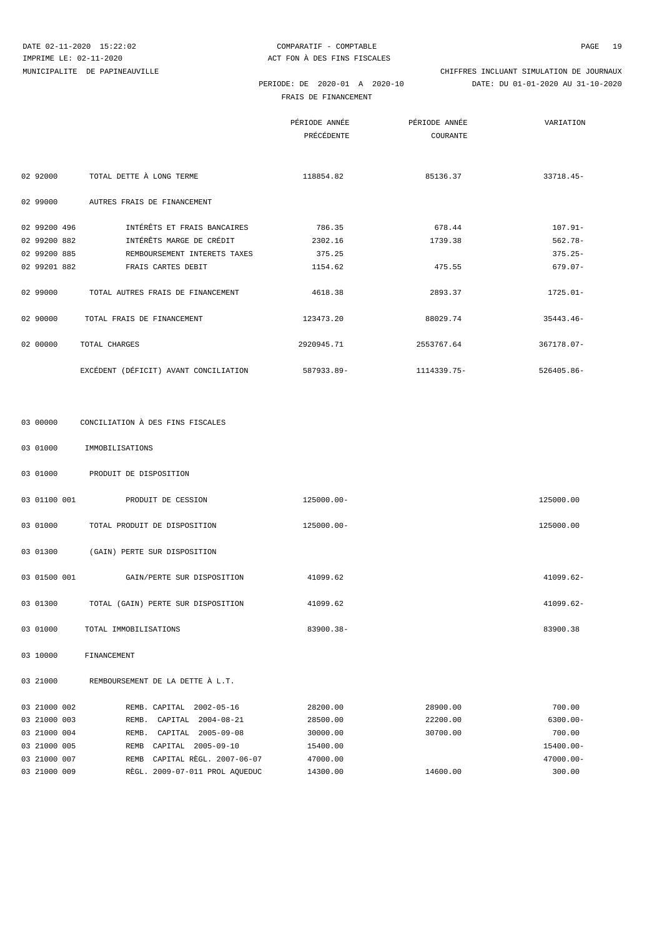MUNICIPALITE DE PAPINEAUVILLE CHIFFRES INCLUANT SIMULATION DE JOURNAUX

FRAIS DE FINANCEMENT

PERIODE: DE 2020-01 A 2020-10 DATE: DU 01-01-2020 AU 31-10-2020

|              |                                       | PÉRIODE ANNÉE<br>PRÉCÉDENTE | PÉRIODE ANNÉE<br>COURANTE | VARIATION   |
|--------------|---------------------------------------|-----------------------------|---------------------------|-------------|
| 02 92000     | TOTAL DETTE À LONG TERME              | 118854.82                   | 85136.37                  | 33718.45-   |
| 02 99000     | AUTRES FRAIS DE FINANCEMENT           |                             |                           |             |
| 02 99200 496 | INTÉRÊTS ET FRAIS BANCAIRES           | 786.35                      | 678.44                    | $107.91 -$  |
| 02 99200 882 | INTÉRÊTS MARGE DE CRÉDIT              | 2302.16                     | 1739.38                   | $562.78 -$  |
| 02 99200 885 | REMBOURSEMENT INTERETS TAXES          | 375.25                      |                           | $375.25 -$  |
| 02 99201 882 | FRAIS CARTES DEBIT                    | 1154.62                     | 475.55                    | $679.07 -$  |
| 02 99000     | TOTAL AUTRES FRAIS DE FINANCEMENT     | 4618.38                     | 2893.37                   | 1725.01-    |
| 02 90000     | TOTAL FRAIS DE FINANCEMENT            | 123473.20                   | 88029.74                  | $35443.46-$ |
| 02 00000     | TOTAL CHARGES                         | 2920945.71                  | 2553767.64                | 367178.07-  |
|              | EXCÉDENT (DÉFICIT) AVANT CONCILIATION | 587933.89-                  | 1114339.75-               | 526405.86-  |

| 03 00000 | CONCILIATION À DES FINS FISCALES        |            |              |
|----------|-----------------------------------------|------------|--------------|
| 03 01000 | IMMOBILISATIONS                         |            |              |
| 03 01000 | PRODUIT DE DISPOSITION                  |            |              |
|          | 03 01100 001 PRODUIT DE CESSION         | 125000.00- | 125000.00    |
| 03 01000 | TOTAL PRODUIT DE DISPOSITION            | 125000.00- | 125000.00    |
| 03 01300 | (GAIN) PERTE SUR DISPOSITION            |            |              |
|          | 03 01500 001 GAIN/PERTE SUR DISPOSITION | 41099.62   | $41099.62 -$ |
| 03 01300 | TOTAL (GAIN) PERTE SUR DISPOSITION      | 41099.62   | 41099.62-    |
| 03 01000 | TOTAL IMMOBILISATIONS                   | 83900.38-  | 83900.38     |
|          |                                         |            |              |

03 10000 FINANCEMENT

03 21000 REMBOURSEMENT DE LA DETTE À L.T.

| 03 21000 002 | 2002-05-16<br>REMB. CAPITAL             | 28200.00 | 28900.00 | 700.00       |
|--------------|-----------------------------------------|----------|----------|--------------|
| 03 21000 003 | $2004 - 08 - 21$<br>CAPITAL<br>REMB.    | 28500.00 | 22200.00 | $6300.00 -$  |
| 03 21000 004 | $2005 - 09 - 08$<br>CAPITAL<br>REMB.    | 30000.00 | 30700.00 | 700.00       |
| 03 21000 005 | 2005-09-10<br>САРТТАІ.<br><b>REMB</b>   | 15400.00 |          | 15400.00-    |
| 03 21000 007 | CAPITAL REGL. 2007-06-07<br><b>REMB</b> | 47000.00 |          | $47000.00 -$ |
| 03 21000 009 | RÈGL. 2009-07-011 PROL AQUEDUC          | 14300.00 | 14600.00 | 300.00       |